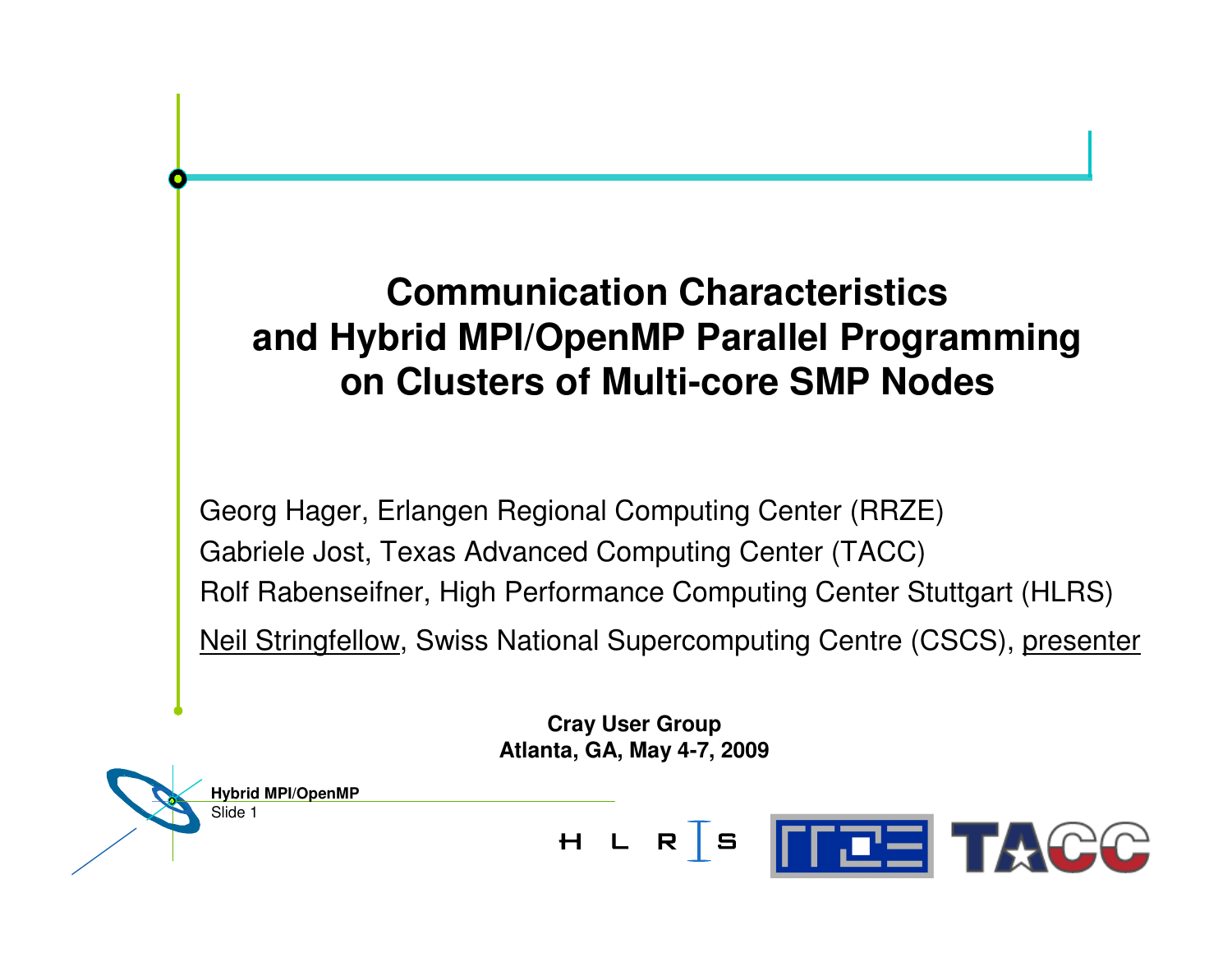## **Communication Characteristics and Hybrid MPI/OpenMP Parallel Programming on Clusters of Multi-core SMP Nodes**

Georg Hager, Erlangen Regional Computing Center (RRZE) Gabriele Jost, Texas Advanced Computing Center (TACC) Rolf Rabenseifner, High Performance Computing Center Stuttgart (HLRS) Neil Stringfellow, Swiss National Supercomputing Centre (CSCS), presenter

> **Cray User Group Atlanta, GA, May 4-7, 2009**

**Hybrid MPI/OpenMP**

Slide 1

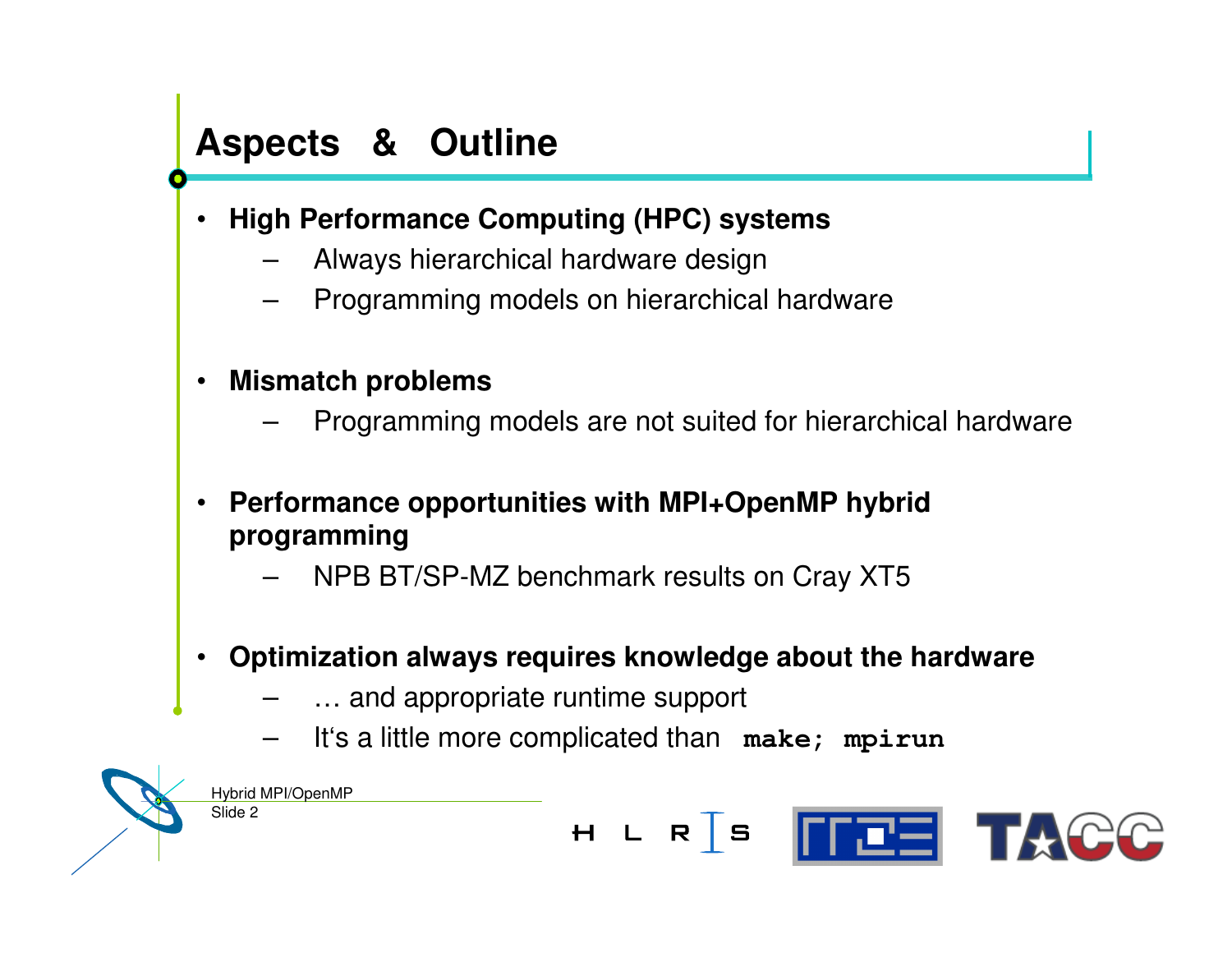### **Aspects & Outline**

- • **High Performance Computing (HPC) systems**
	- –Always hierarchical hardware design
	- –Programming models on hierarchical hardware
- • **Mismatch problems**
	- –Programming models are not suited for hierarchical hardware
- • **Performance opportunities with MPI+OpenMP hybrid programming**
	- –NPB BT/SP-MZ benchmark results on Cray XT5
- • **Optimization always requires knowledge about the hardware**
	- –… and appropriate runtime support
	- –It's <sup>a</sup> little more complicated than **make; mpirun**

Slide 2 Hybrid MPI/OpenMP

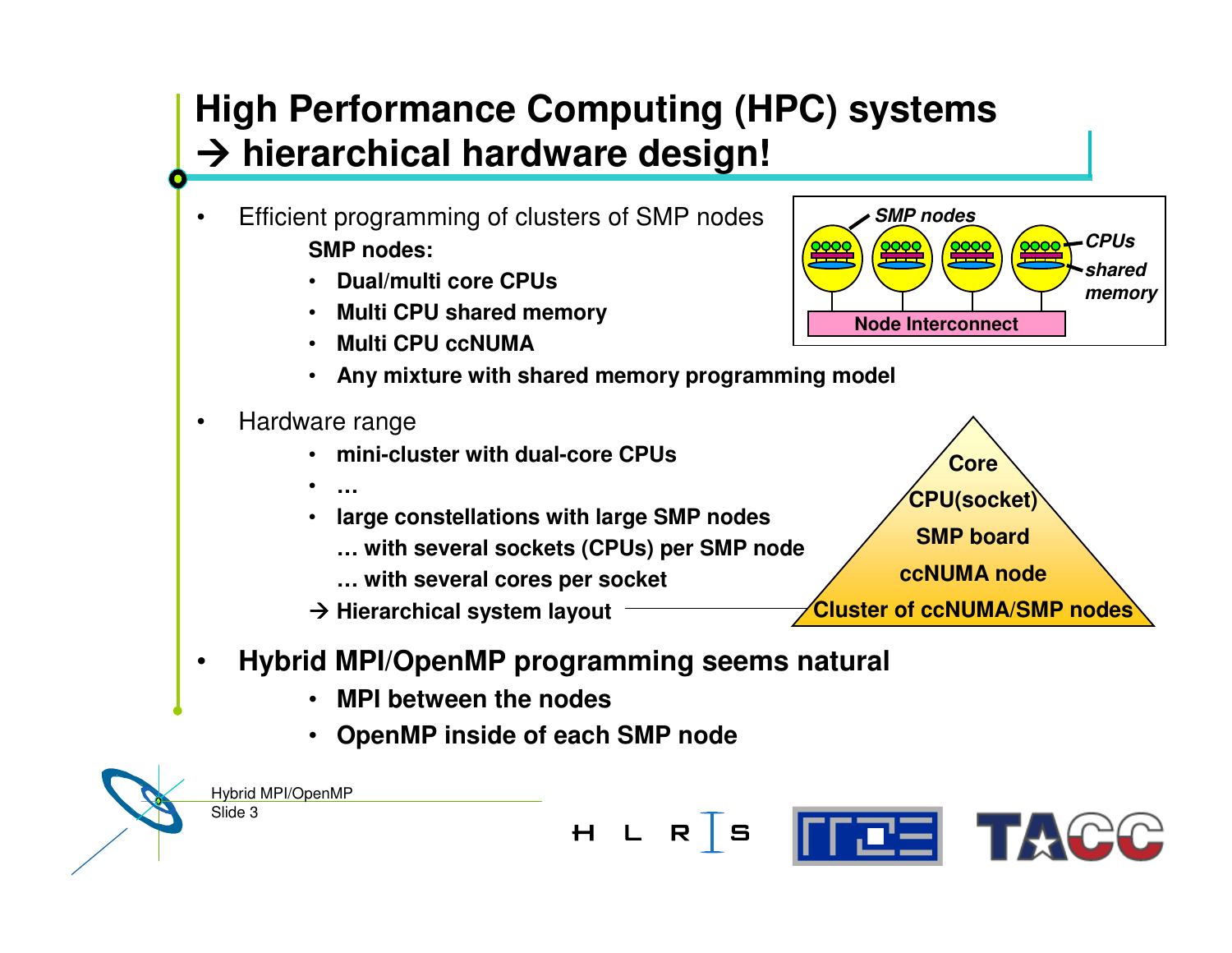## **High Performance Computing (HPC) systems hierarchical hardware design!**

- • Efficient programming of clusters of SMP nodes **SMP nodes:**
	- **Dual/multi core CPUs**
	- **Multi CPU shared memory**
	- **Multi CPU ccNUMA**
	- **Any mixture with shared memory programming model**
- •• Hardware range

•

•

**…**

- **mini-cluster with dual-core CPUs**
- **large constellations with large SMP nodes**
	- **… with several sockets (CPUs) per SMP node**
	- **… with several cores per socket**
- **Hierarchical system layout**



**Core**

**CPU(socket)**

**SMP board**

**ccNUMA node**

**Cluster of ccNUMA/SMP nodes**

*CPUs*

*SMP nodes*

#### •**Hybrid MPI/OpenMP programming seems natural**

- •**MPI between the nodes**
- **OpenMP inside of each SMP node**

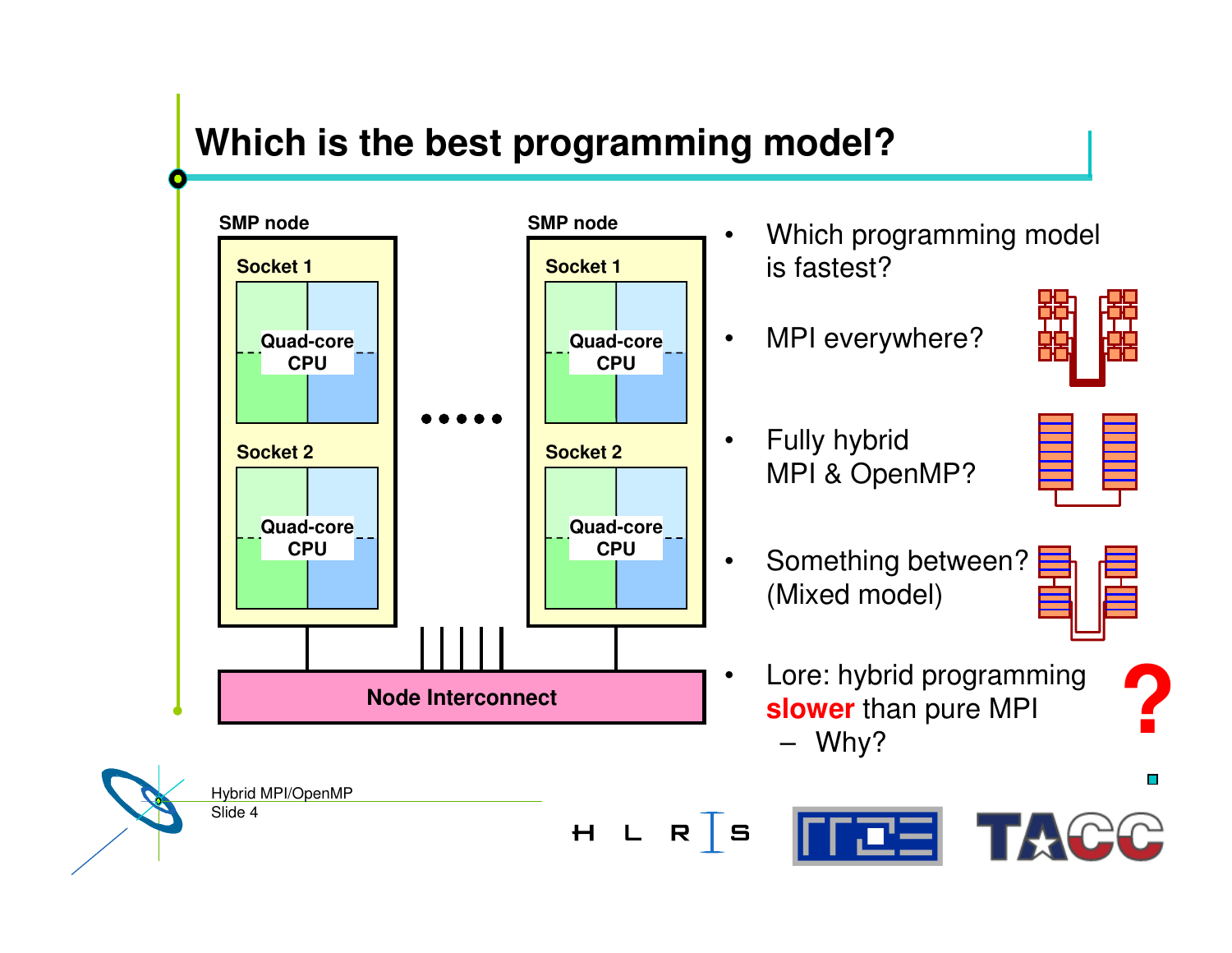### **Which is the best programming model?**

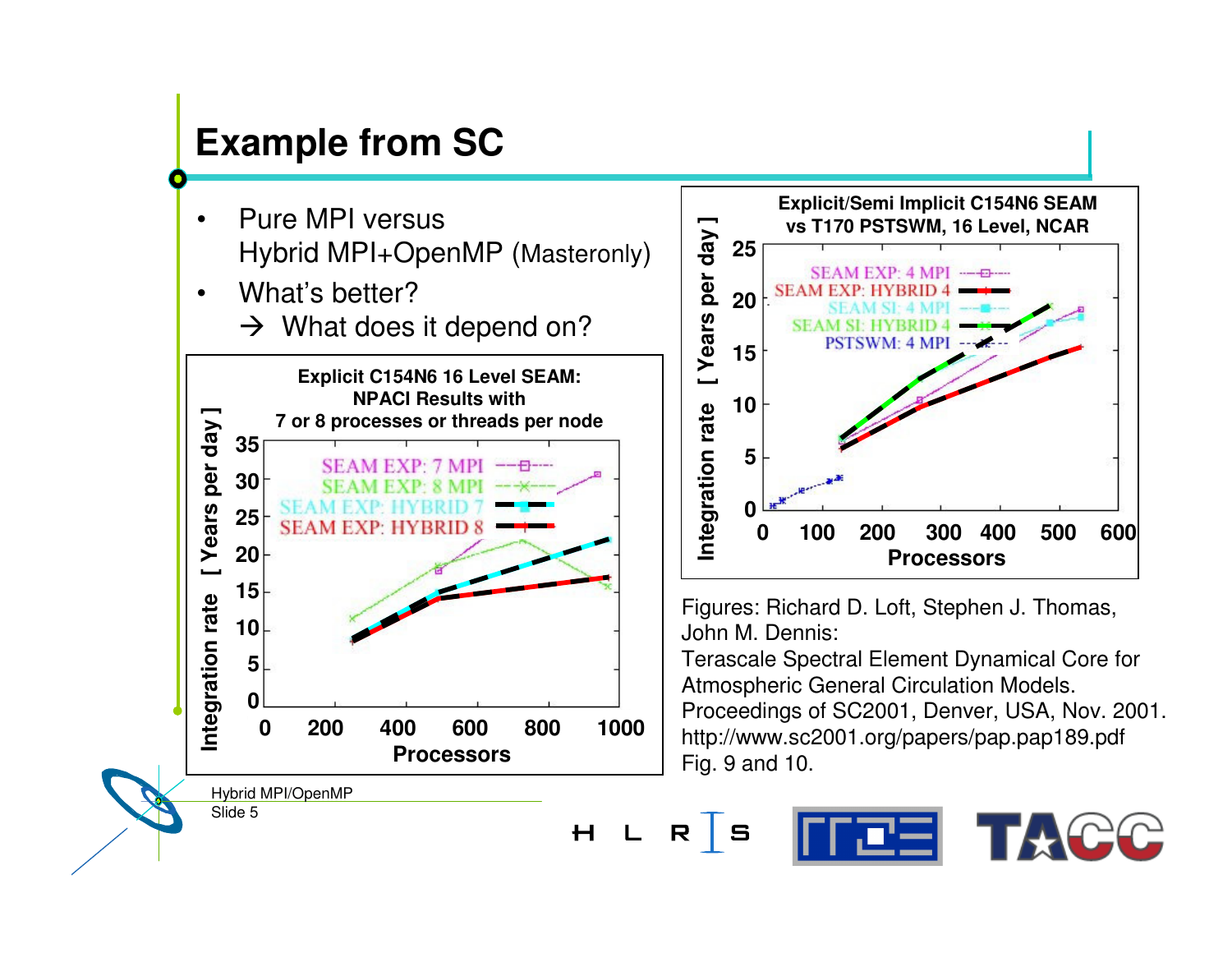## **Example** from SC

- •• Pure MPI versus Hybrid MPI+OpenMP (Masteronly)
- •• What's better?
	- $\rightarrow$  What does it depend on?





Figures: Richard D. Loft, Stephen J. Thomas, JohnM. Dennis:

Terascale Spectral Element Dynamical Core for Atmospheric General Circulation Models. Proceedings of SC2001, Denver, USA, Nov. 2001. http://www.sc2001.org/papers/pap.pap189.pdf Fig. 9 a n d 10.

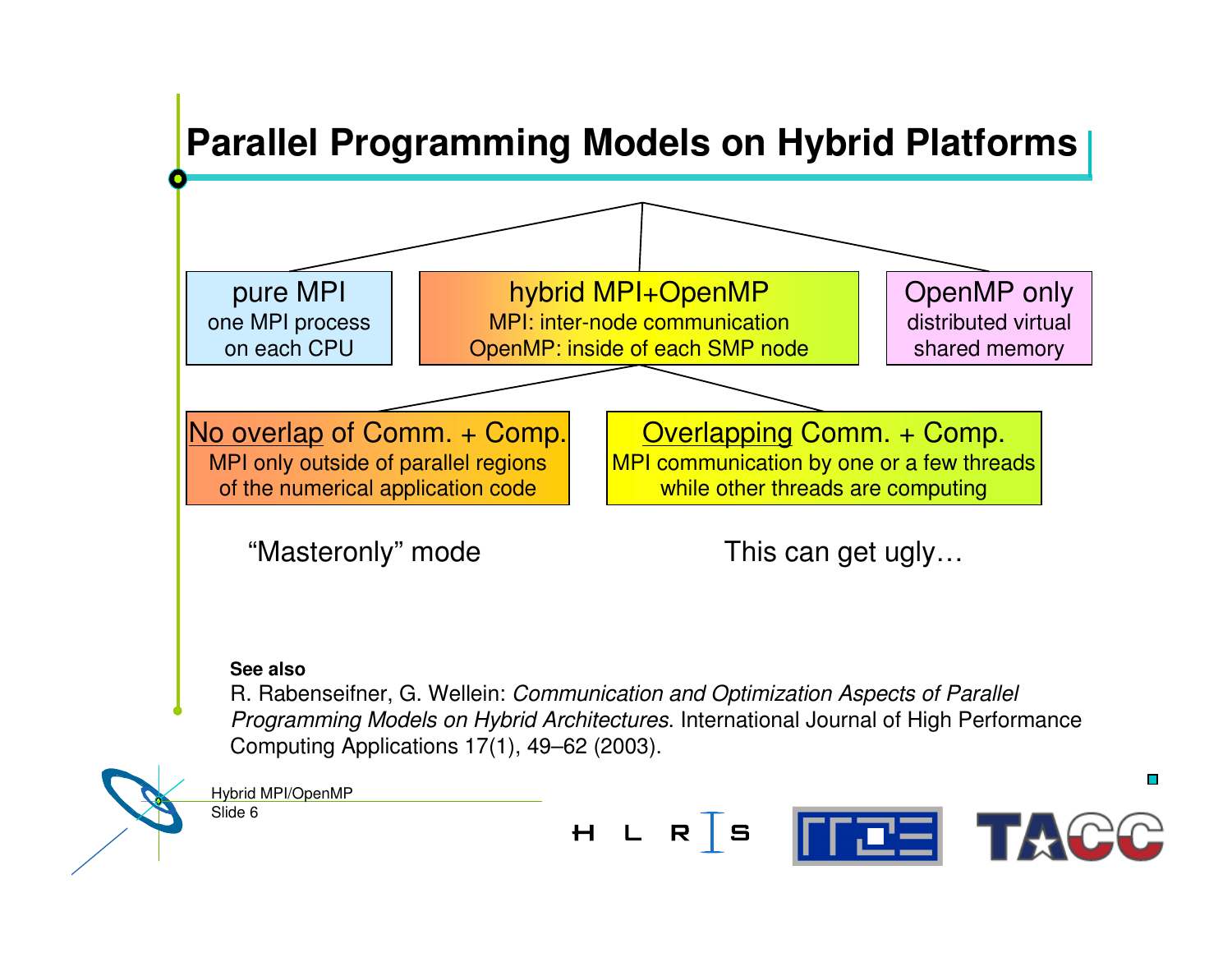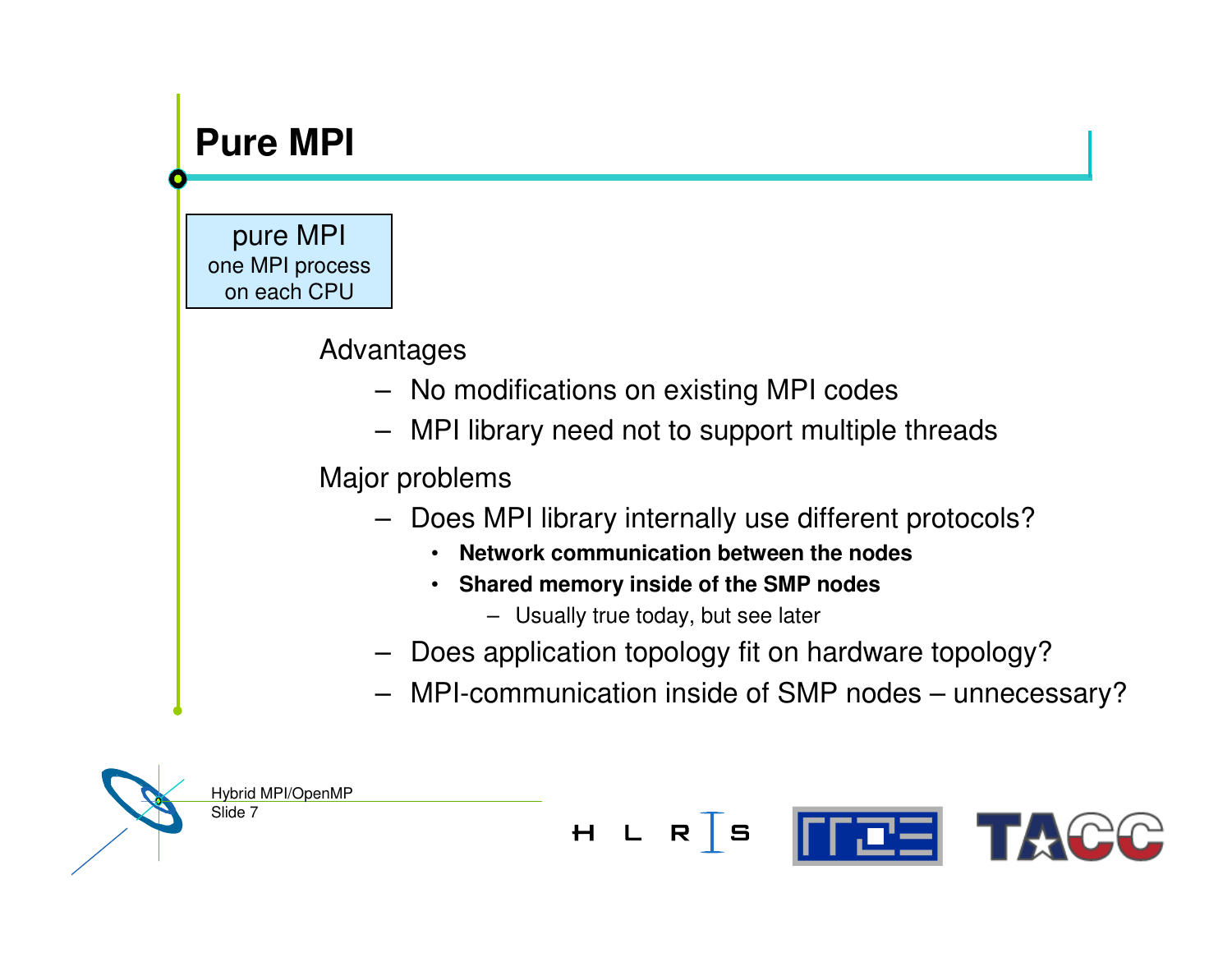### **Pure MPI**

pure MPI one MPI process on each CPU

#### Advantages

- No modifications on existing MPI codes
- –MPI library need not to support multiple threads

#### Major problems

- Does MPI library internally use different protocols?
	- **Network communication between the nodes**
	- **Shared memory inside of the SMP nodes**
		- Usually true today, but see later

 $H L R S$ 

- Does application topology fit on hardware topology?
- MPI-communication inside of SMP nodes unnecessary?

**FEE TACC** 

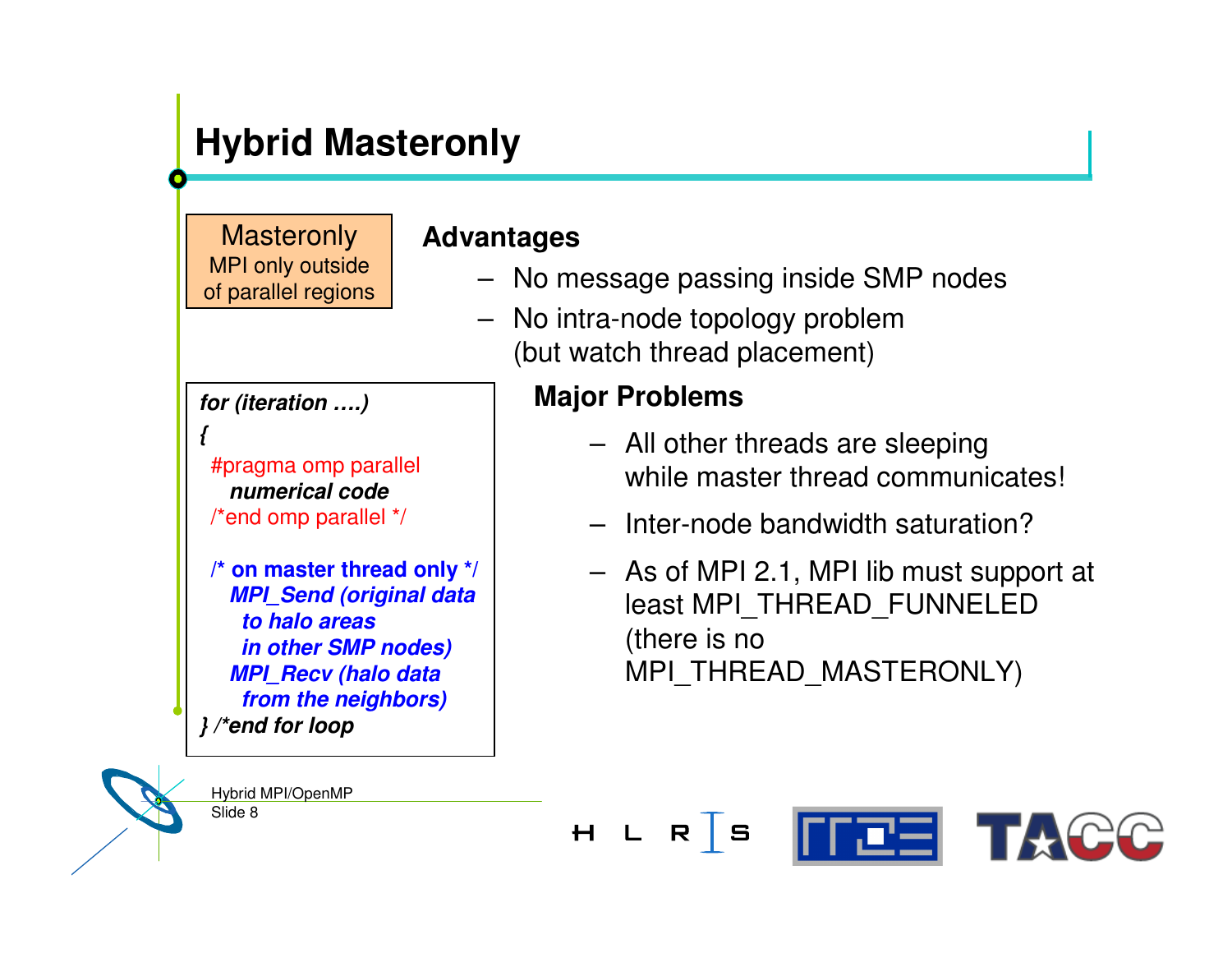## **Hybrid Masteronly**

**Masteronly** MPI only outside of parallel regions

#### *for (iteration ….)*

*{*

#pragma omp parallel *numerical code*/\*end omp parallel \*/

Slide 8

Hybrid MPI/OpenMP

**/\* on master thread only \*/** *MPI \_ Send (original data to halo areas in other SMP nodes) MPI \_ Recv (halo data from the neighbors) } /\*end for loop*

#### **Advantages**

- No message passing inside SMP nodes
- No intra-node topology problem (but watch thread placement)

#### **Major Problems**

- All other threads are sleeping while master thread communicates!
- Inter-node bandwidth saturation?
- As of MPI 2.1, MPI lib must support at least MPI \_ THREAD \_ FUNNELED (there is no MPI \_ THREAD \_ MASTERONLY)

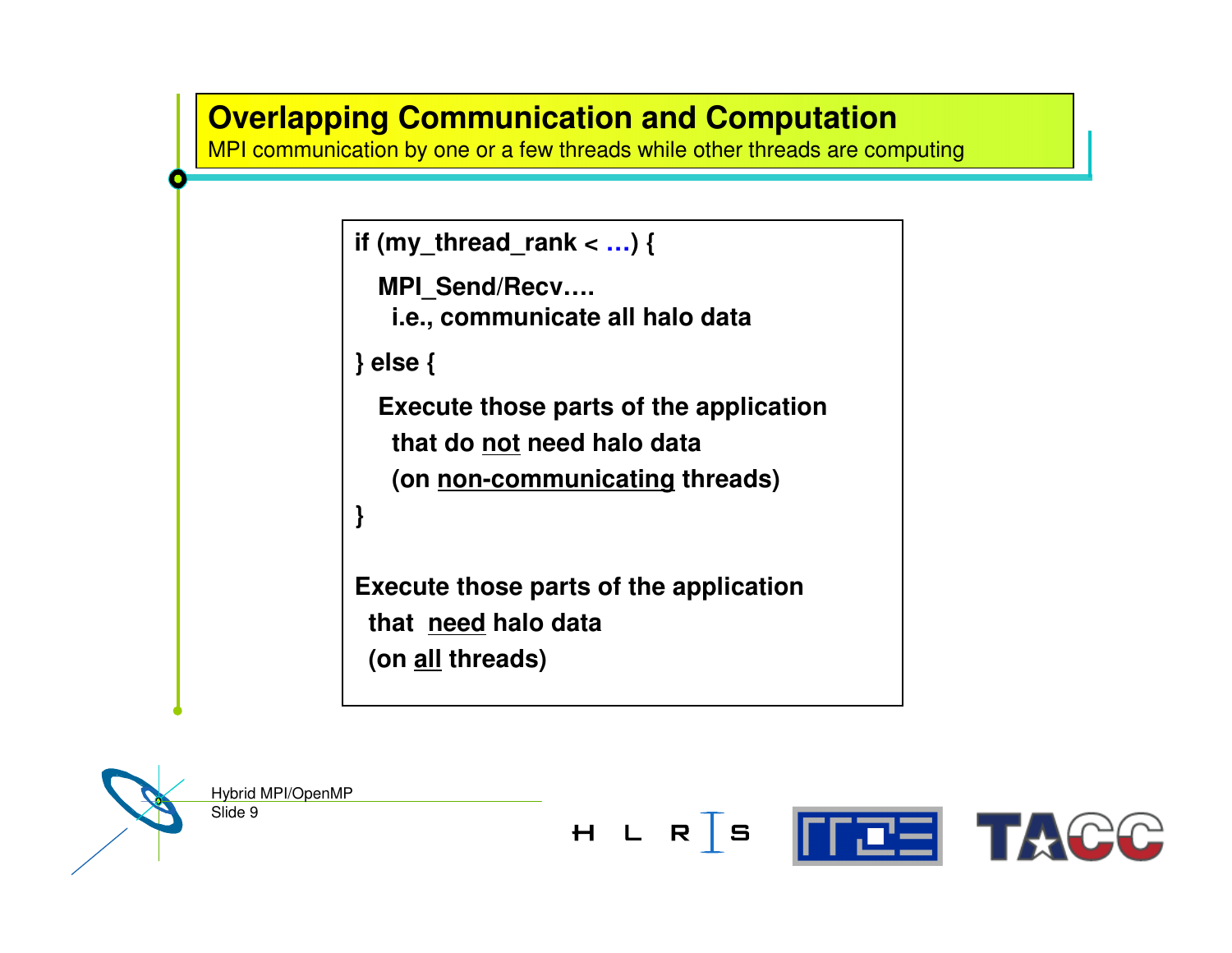#### **Overlapping Communication and Computation**

**OVER PIPPING**<br> **CONTRACT COMMUNICATION**<br> **CONTRACT COMMUNICATION** 

```
if (my_thread_rank < …) {
```

```
MPI
_
Send/Recv….
i.e., communicate all halo data
```
**} else {**

**Execute those parts of the application that do not need halo data (on non-communicating threads)**

```
}
```
**Execute those parts of the application that need halo data (on all threads)**

Slide 9

Hybrid MPI/OpenMP

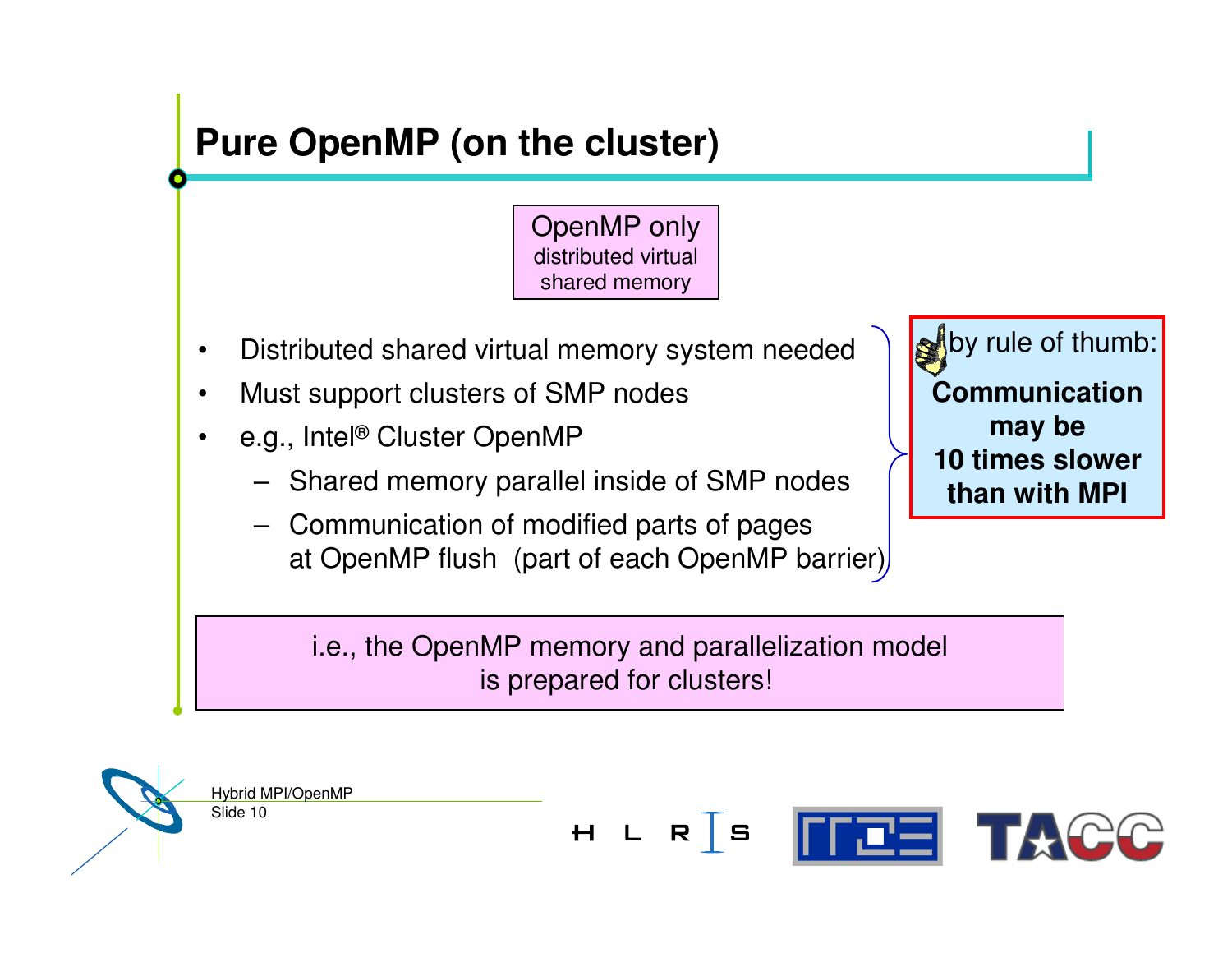## **Pure OpenMP (on the cluster)**

OpenMP only distributed virtual shared memory

- $\bullet$ Distributed shared virtual memory system needed
- •Must support clusters of SMP nodes
- • e.g., Intel® Cluster OpenMP
	- Shared memory parallel inside of SMP nodes
	- Communication of modified parts of pages at OpenMP flush (part of each OpenMP barrier)

by rule of thumb: **Communicationmay be 10 times slower than with MPI**

i.e., the OpenMP memory and parallelization model is prepared for clusters!

Slide 10 Hybrid MPI/OpenMP

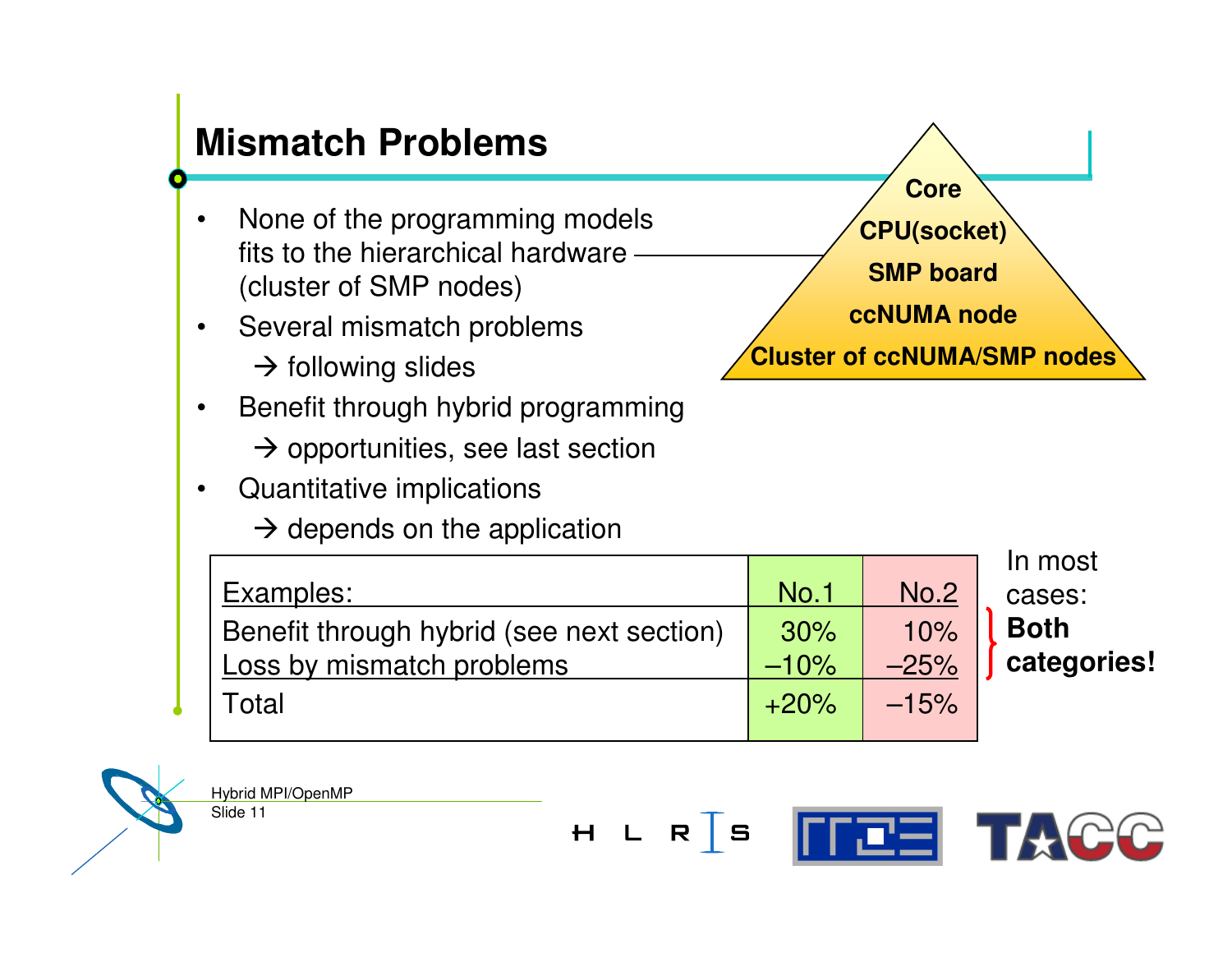#### **Mismatch Problems** •• None of the programming models fits to the hierarchical hardware (cluster of SMP nodes) •• Several mismatch problems  $\rightarrow$  following slides  $\bullet$  Benefit through hybrid programming  $\rightarrow$  opportunities, see last section

•Quantitative implications

 $\rightarrow$  depends on the application



In most cases: **Bothcategories!**



Slide 11 Hybrid MPI/OpenMP

**FFEEI TACC**  $H L R S$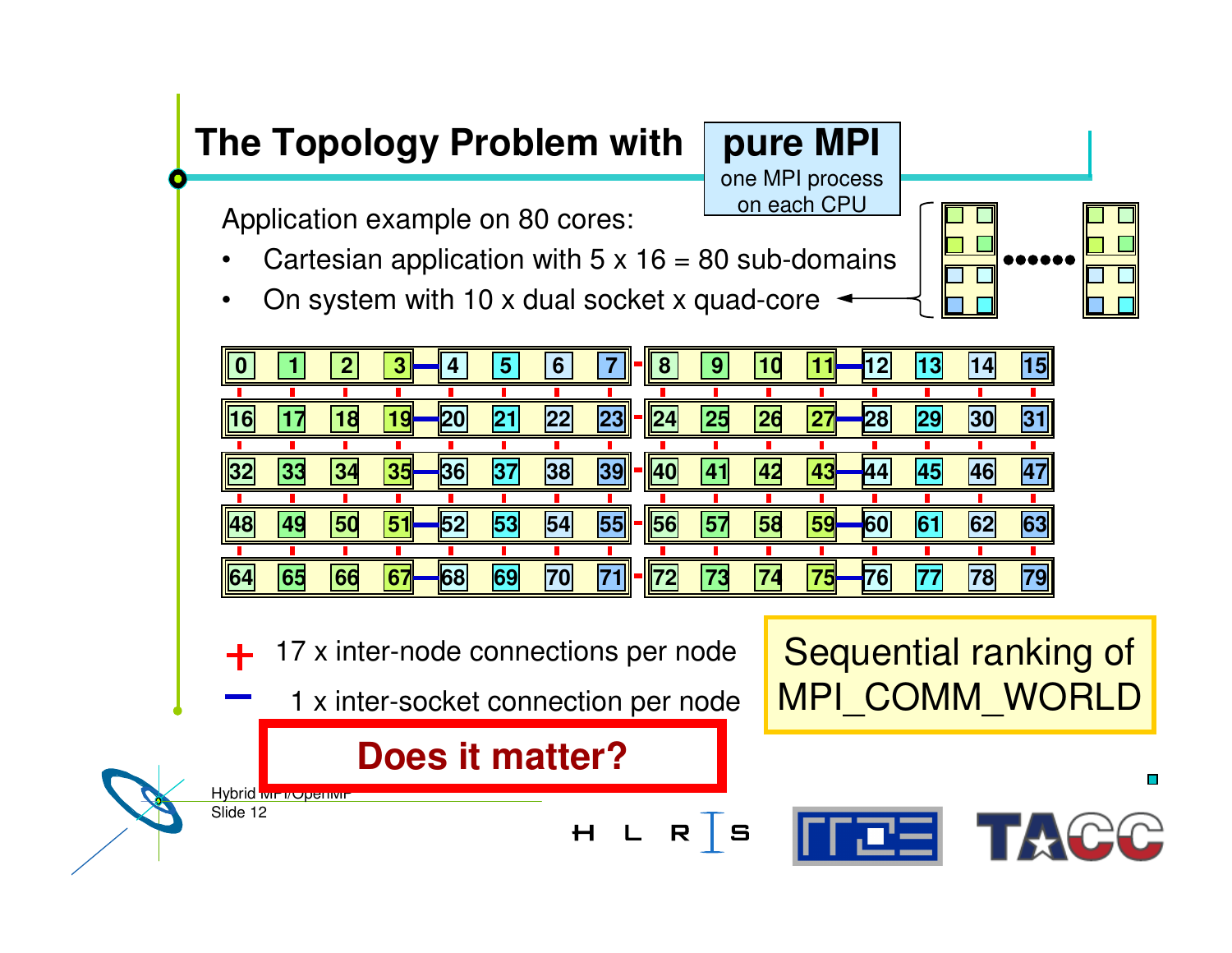**pure MPI** one MPI process on each CPU

Application example on 80 cores:

- •Cartesian application with 5 <sup>x</sup> 16 <sup>=</sup> 80 sub-domains
- •On system with 10 <sup>x</sup> dual socket <sup>x</sup> quad-core





H L R S

17 <sup>x</sup> inter-node connections per node

1 <sup>x</sup> inter-socket connection per node

### **Does it matter?**

Slide 12 Hybrid wir vopenwir Sequential ranking of MPI \_ COMM \_ WORLD

rres 1

П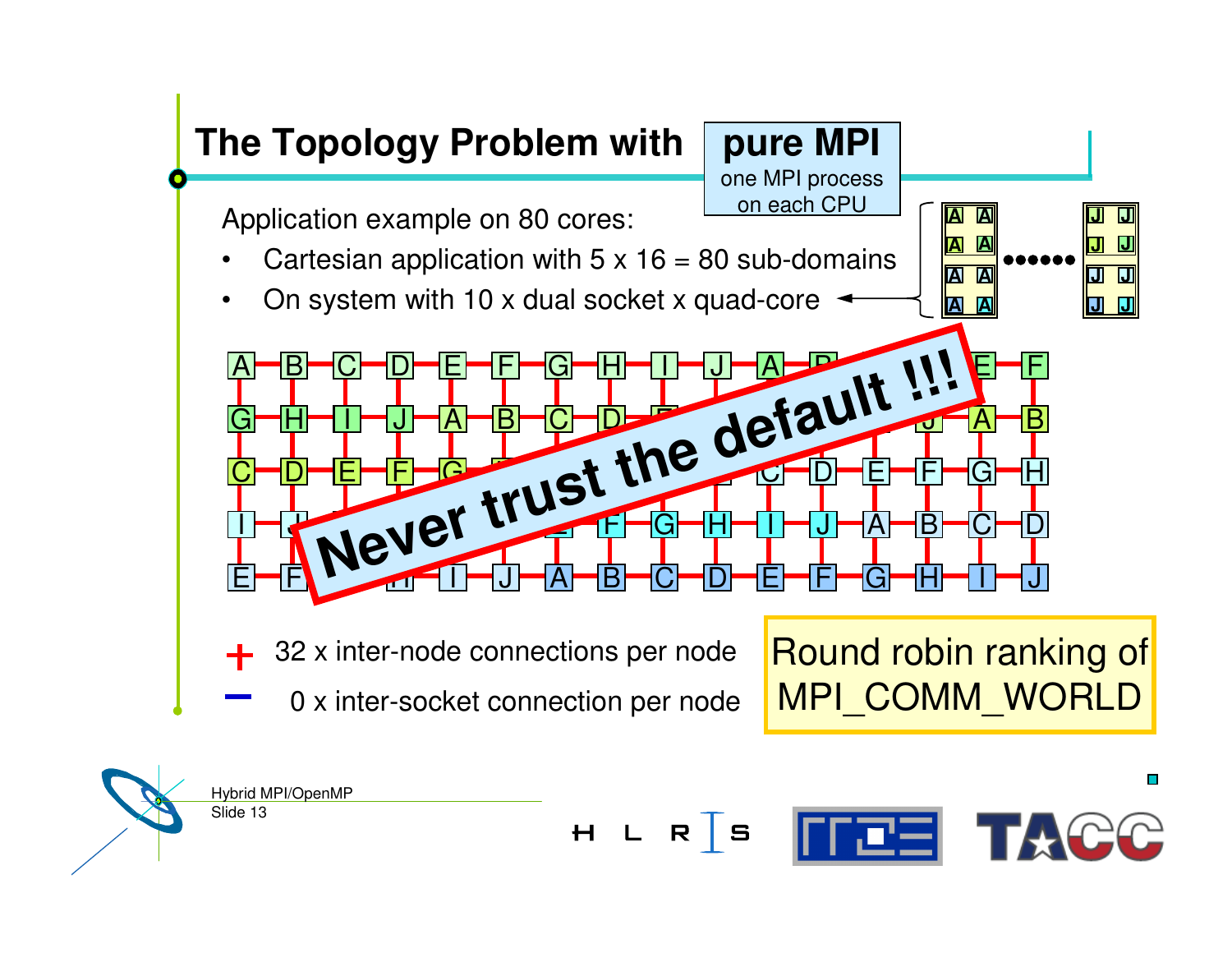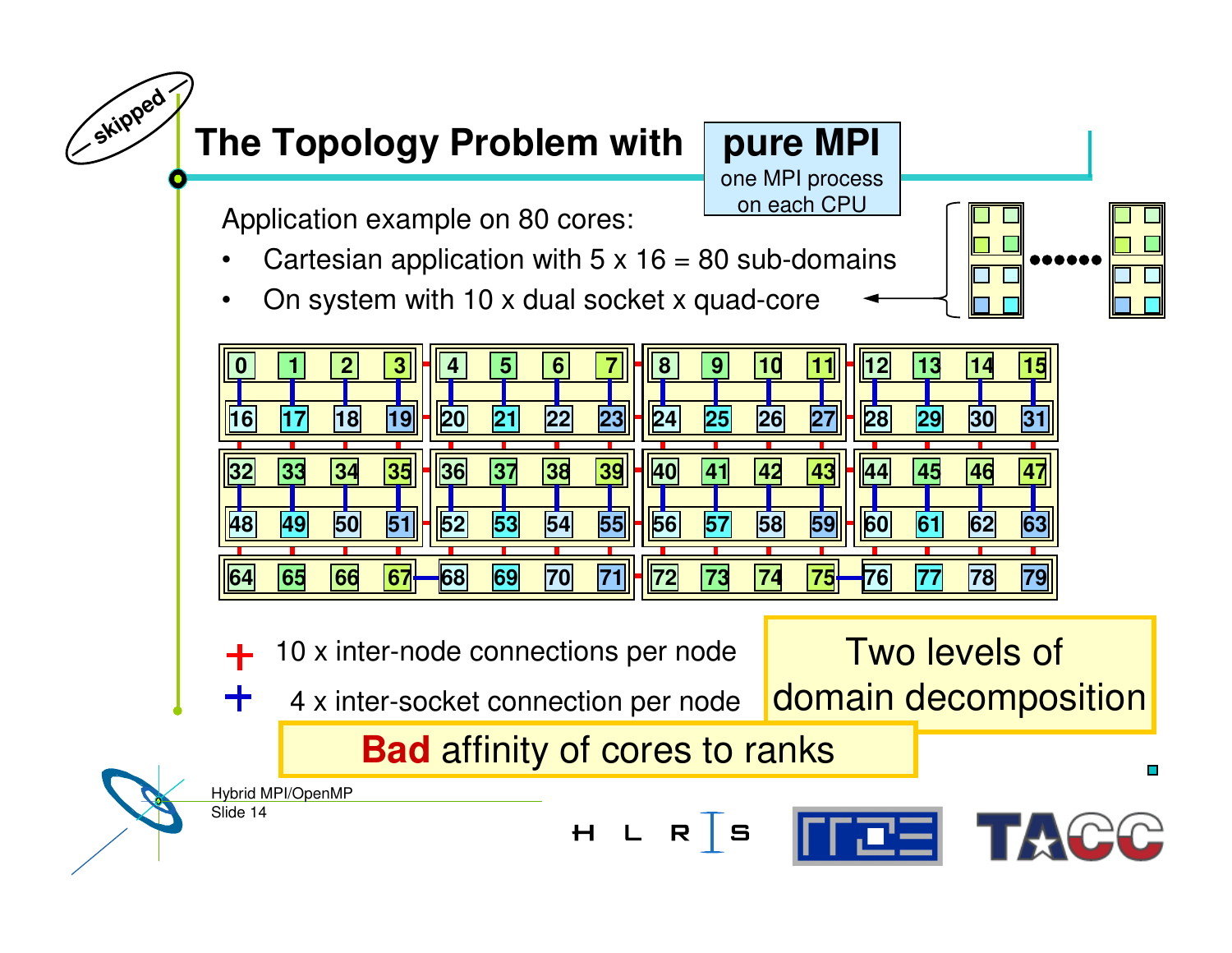**pure MPI** one MPI process on each CPU

Two levels of

广西三

П

Application example on 80 cores:

- •Cartesian application with 5 <sup>x</sup> 16 <sup>=</sup> 80 sub-domains
- •On system with 10 <sup>x</sup> dual socket <sup>x</sup> quad-core



- 10 <sup>x</sup> inter-node connections per node
	- domain decomposition 4 <sup>x</sup> inter-socket connection per node

 $H L R$  S

## **Bad** affinity of cores to ranks

Slide 14 Hybrid MPI/OpenMP

╅

**—**

**skipped —**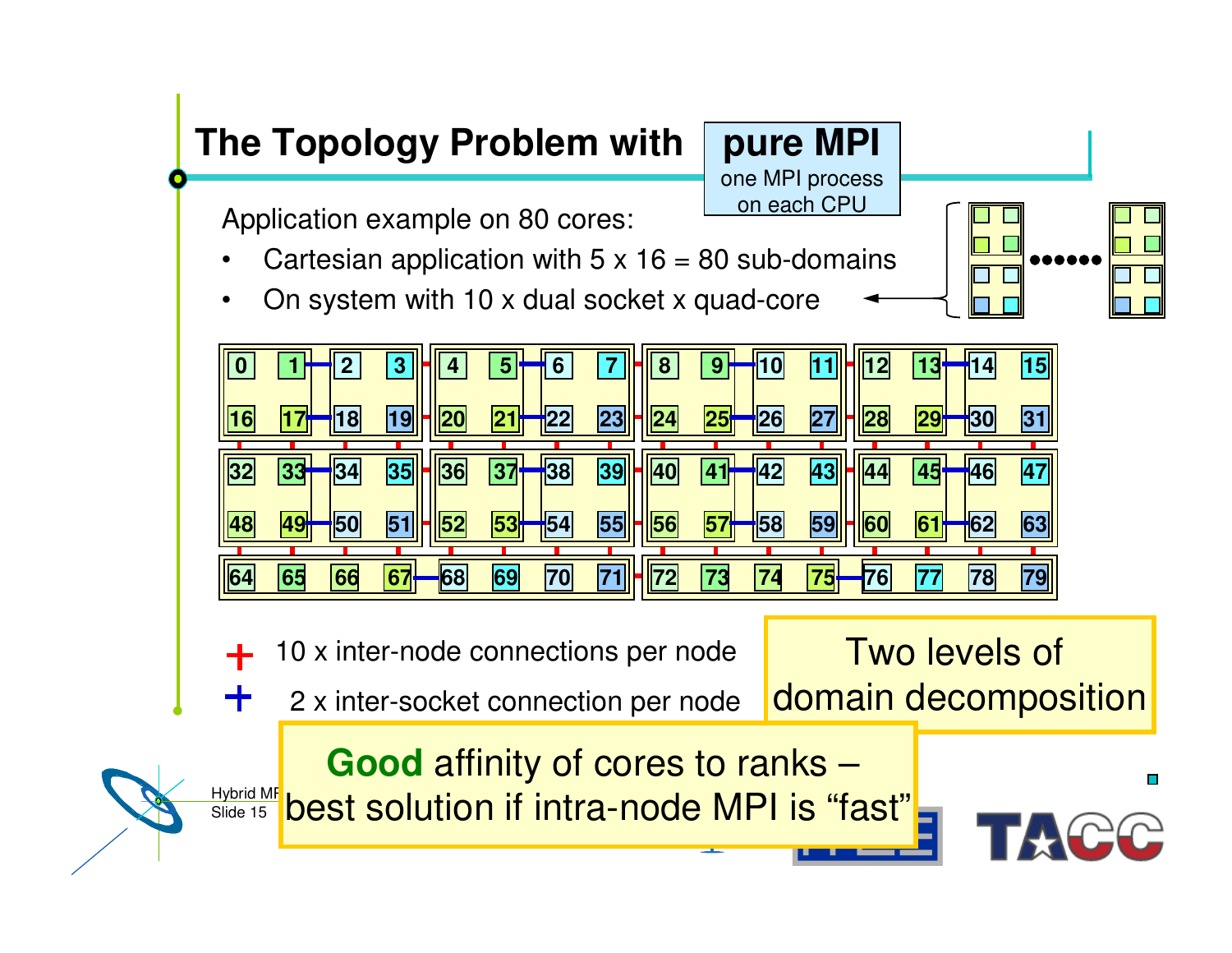**pure MPI** one MPI process on each CPU

Application example on 80 cores:

- •Cartesian application with 5 <sup>x</sup> 16 <sup>=</sup> 80 sub-domains
- •On system with 10 <sup>x</sup> dual socket <sup>x</sup> quad-core



10 <sup>x</sup> inter-node connections per node

╅

2 <sup>x</sup> inter-socket connection per node

Two levels of domain decomposition

**Good** affinity of cores to ranks –

Slide 15 Hybrid MF<br>Slide 15 **Dest solution if intra-node MPI is "fast"** 



Ø.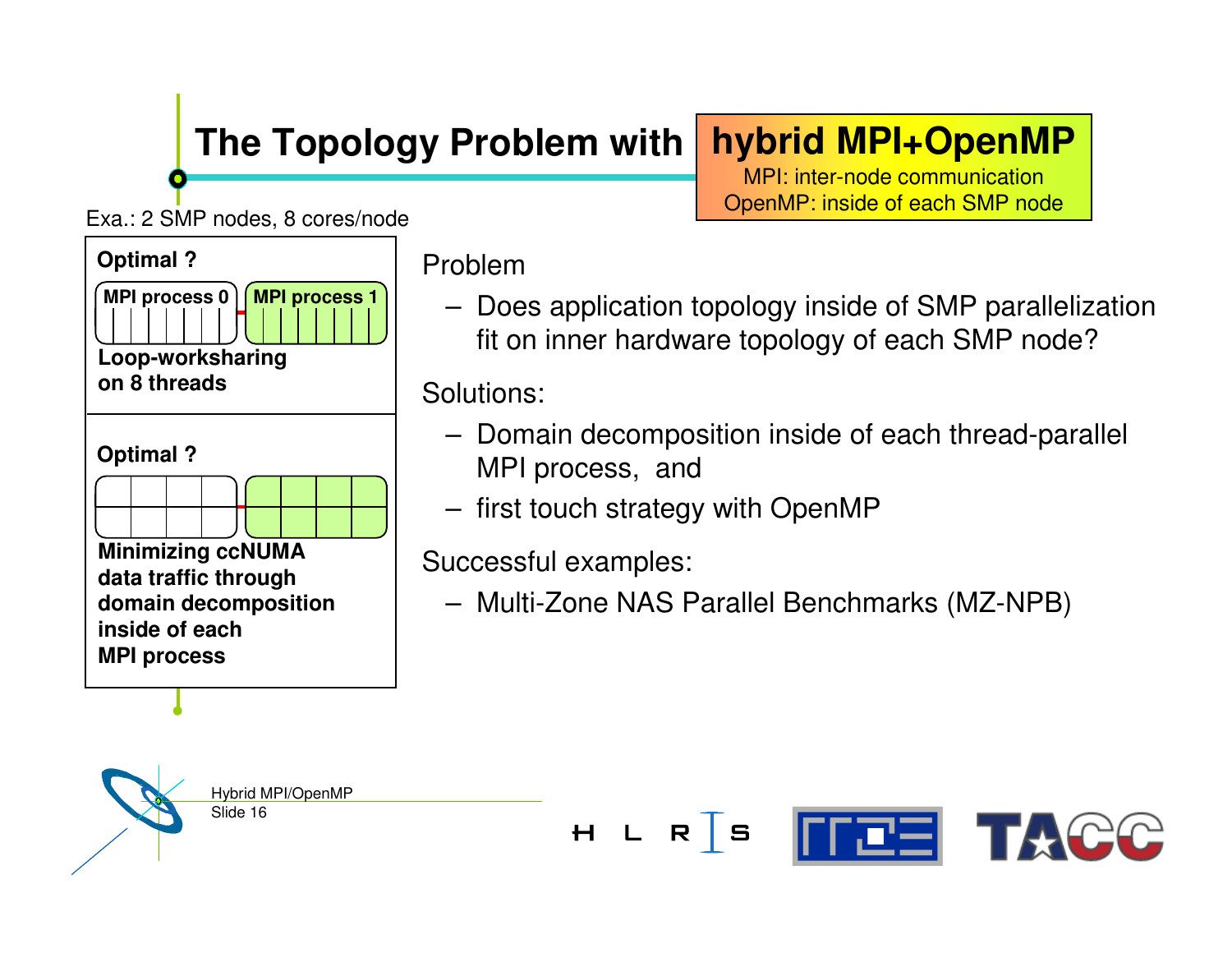# **hybrid MPI+OpenMP**

MPI: inter-node communication OpenMP: inside of each SMP node

Exa.: 2 SMP nodes, 8 cores/node



Problem

– Does application topology inside of SMP parallelization fit on inner hardware topology of each SMP node?

Solutions:

- Domain decomposition inside of each thread-parallel MPI process, and
- first touch strategy with OpenMP

Successful examples:

– Multi-Zone NAS Parallel Benchmarks (MZ-NPB)



Slide 16 Hybrid MPI/OpenMP

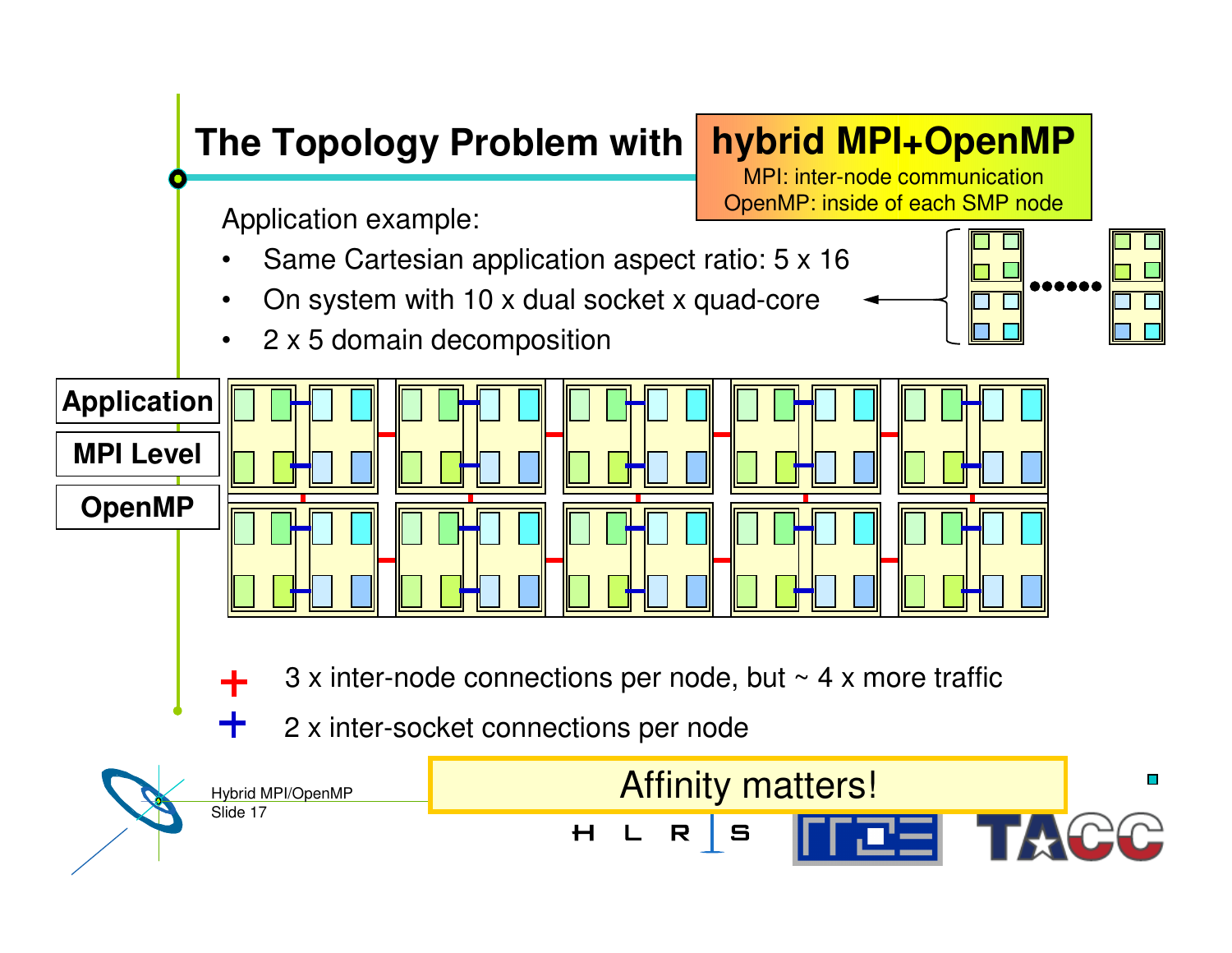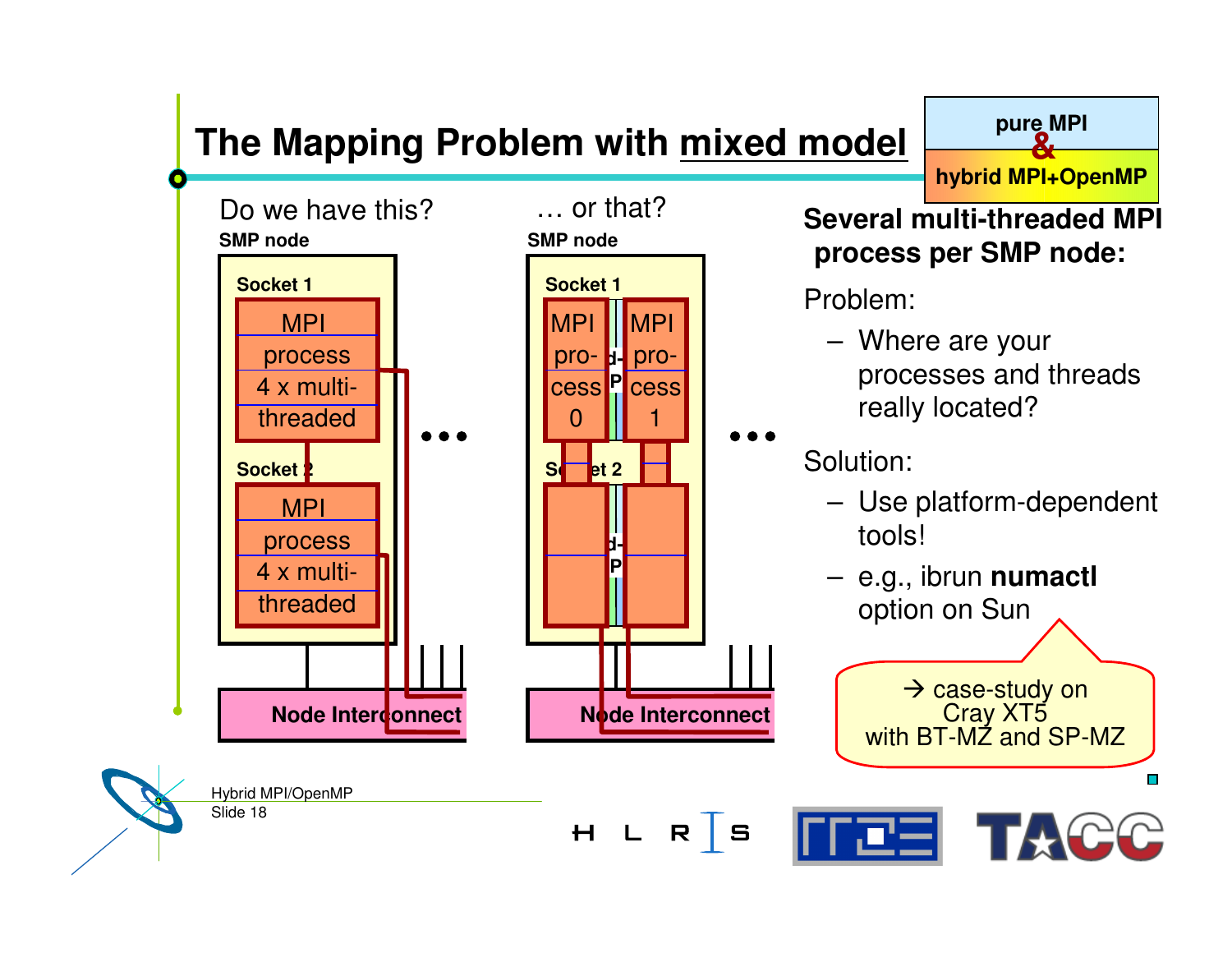## **The Mapping Problem with mixed model**



**hybrid MPI+OpenMP**

**pure MPI &**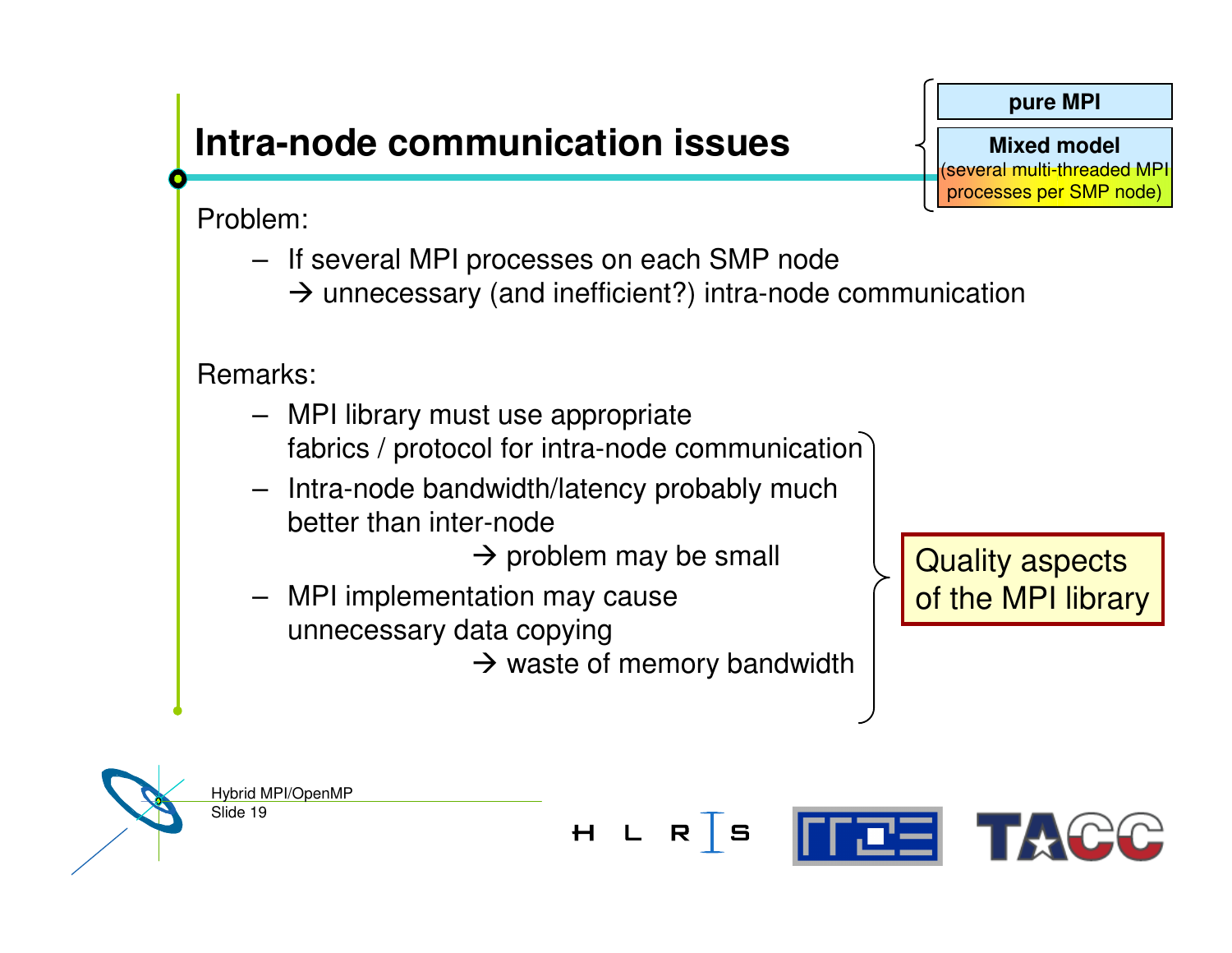## **Intra-node communication issues**

Problem:

- If several MPI processes on each SMP node
	- $\rightarrow$  unnecessary (and inefficient?) intra-node communication

Remarks:

- MPI library must use appropriate fabrics / protocol for intra-node communication
- Intra-node bandwidth/latency probably much better than inter-node

 $\rightarrow$  problem may be small

– MPI implementation may cause unnecessary data copying

 $\rightarrow$  waste of memory bandwidth

Quality aspects of the MPI library

Slide 19 Hybrid MPI/OpenMP



**pure MPI**

**Mixed model** (several multi-threaded MPI processes per SMP node)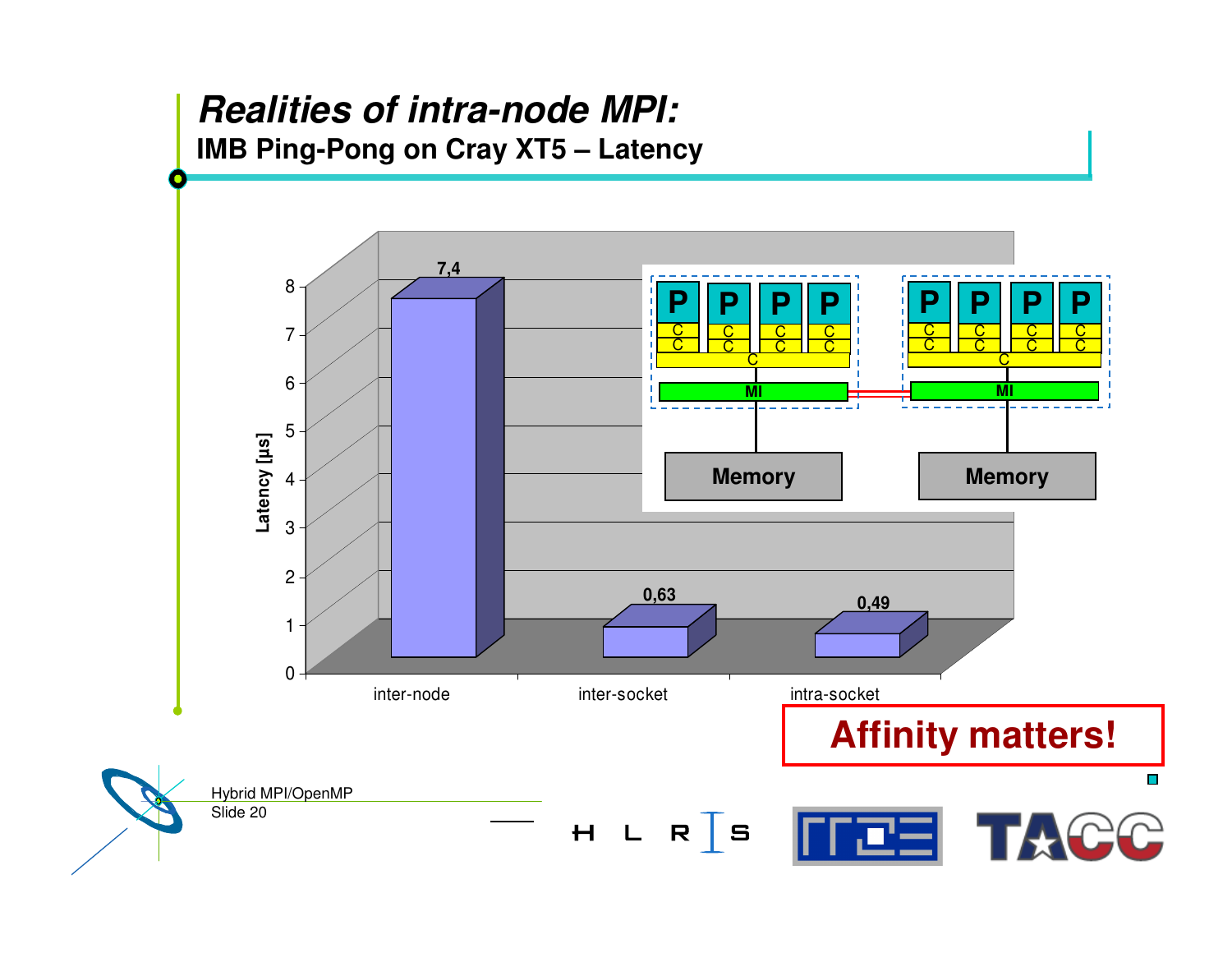#### *Realities of intra-node MPI:* **IMB Ping-Pong on Cray XT5 – Latency**

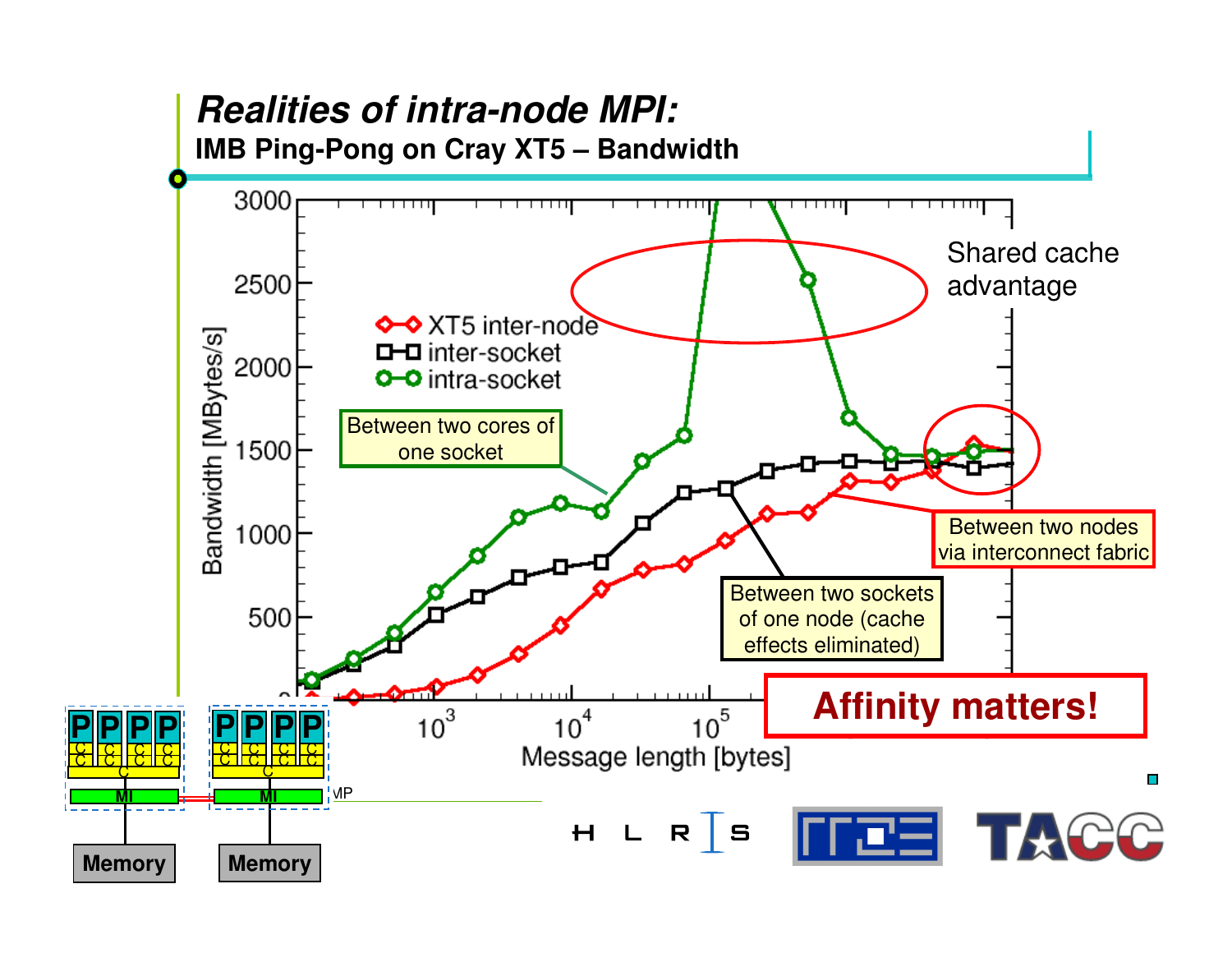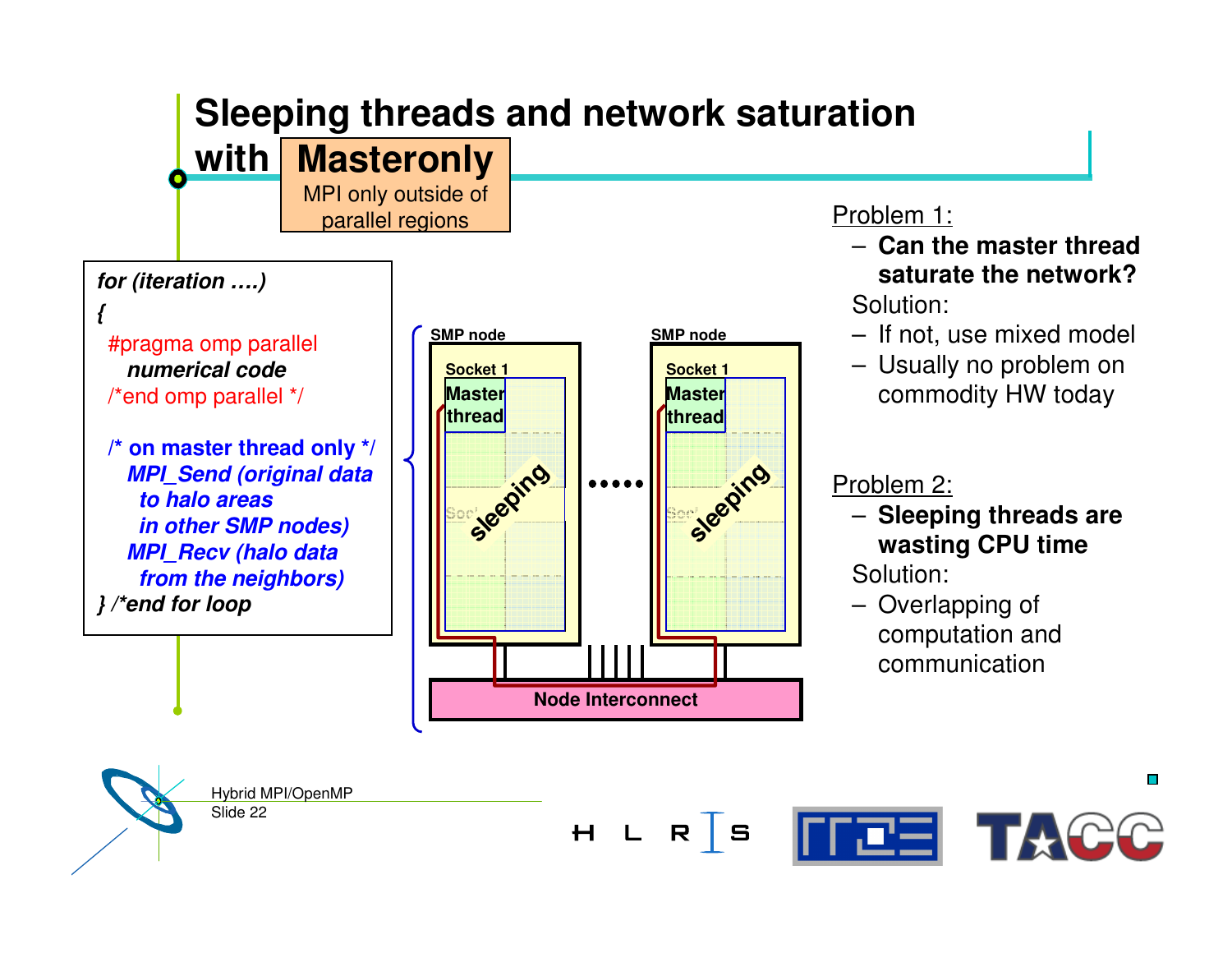## **Sleeping threads and network saturation**

#### **with Masteronly**

MPI only outside of parallel regions

#### *for (iteration ….)*

*{*

#pragma omp parallel *numerical code*/\*end omp parallel \*/

**/\* on master thread only \*/** *MPI \_ Send (original data to halo areas in other SMP nodes) MPI \_ Recv (halo data from the neighbors) } /\*end for loop*



#### Problem 1:

- **Can the master thread saturate the network?**Solution:
- If not, use mixed model
- Usually no problem on commodity HW today

#### Problem 2:

– **Sleeping threads are wasting CPU time**

Solution:

– Overlapping of computation and communication

 $\mathbf{r}$ Hybrid MPI/OpenMP Slide 22 **TEE TACC** H L R S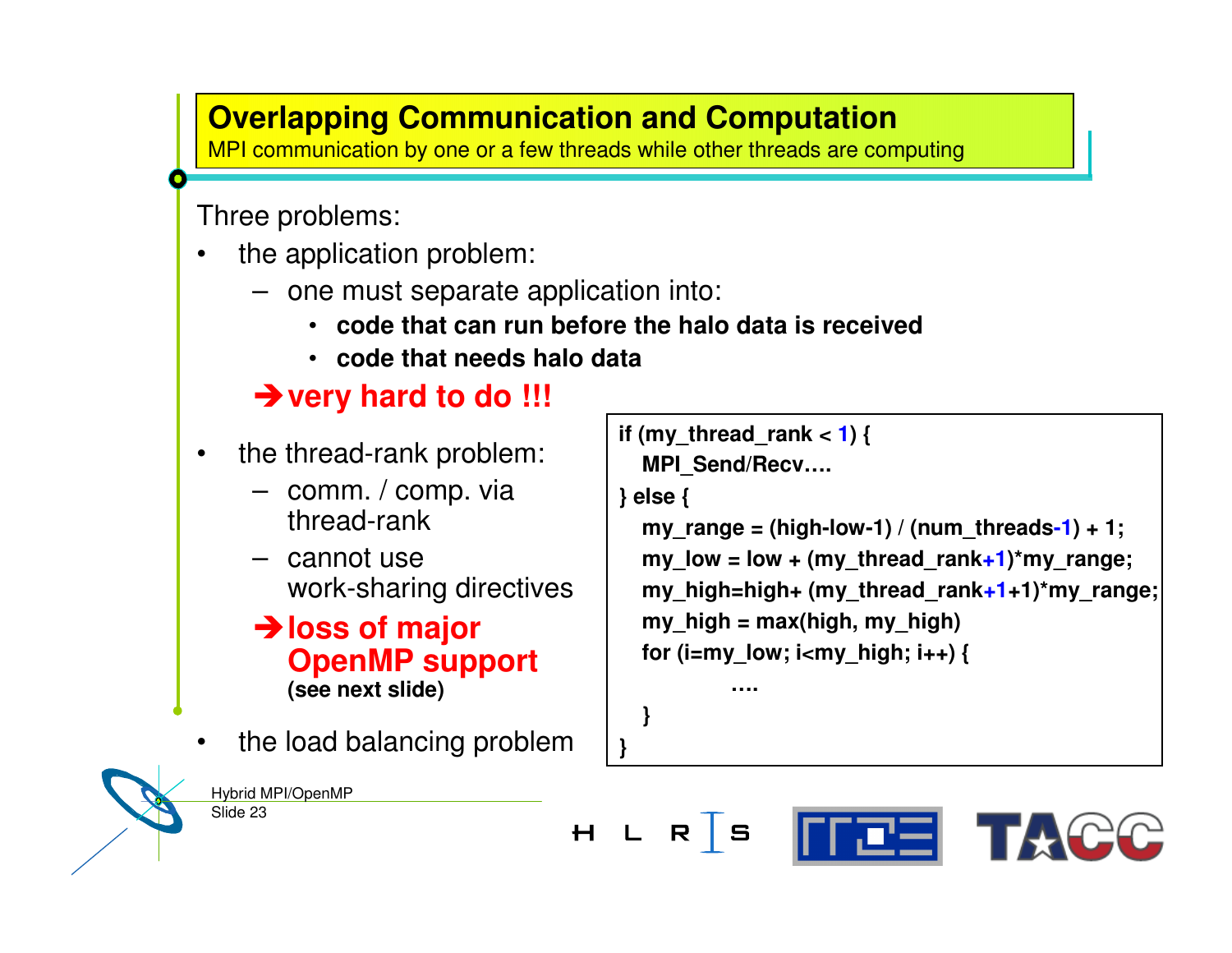#### **Overlapping Communication and Computation**

**OVER PIPPING**<br> **CONTRACT COMMUNICATION**<br> **CONTRACT COMMUNICATION** 

Three problems:

- •• the application problem:
	- one must separate application into:
		- **code that can run before the halo data is received**
		- **code that needs halo data**

#### -**very hard to do !!!**

- •• the thread-rank problem:
	- comm. / comp. via thread-rank
	- cannot use work-sharing directives

-**loss of major OpenMP support (see next slide)**

•• the load balancing problem

```
if (my_thread_rank < 1) {
  MPI
_
Send/Recv….
} else {
  my_range = (high-low-1) / (num_threads-1) + 1;
  my low = low + (my thread rank+1)*my range;
  my_high=high+ (my_thread_rank+1+1)*my_range;
  my_high = max(high, my_high)
  for (i=my_low; i<my_high; i++) {
```
**….**

**}**

**}**

Slide 23

Hybrid MPI/OpenMP

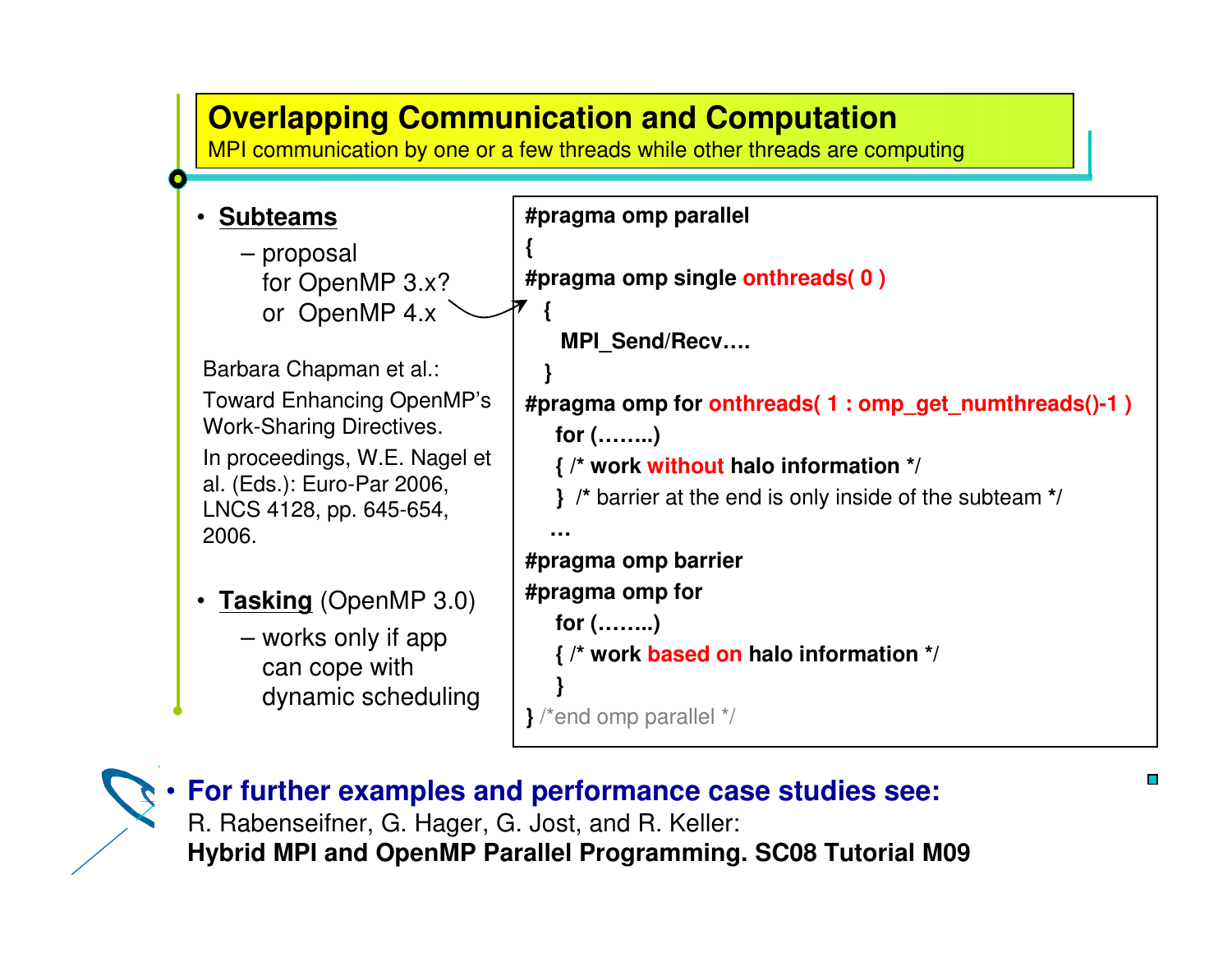



R. Rabenseifner, G. Hager, G. Jost, and R. Keller: Hybrid MPI/OpenMP **For further examples and performance case studies see: Hybrid MPI and OpenMP Parallel Programming. SC08 Tutorial M09**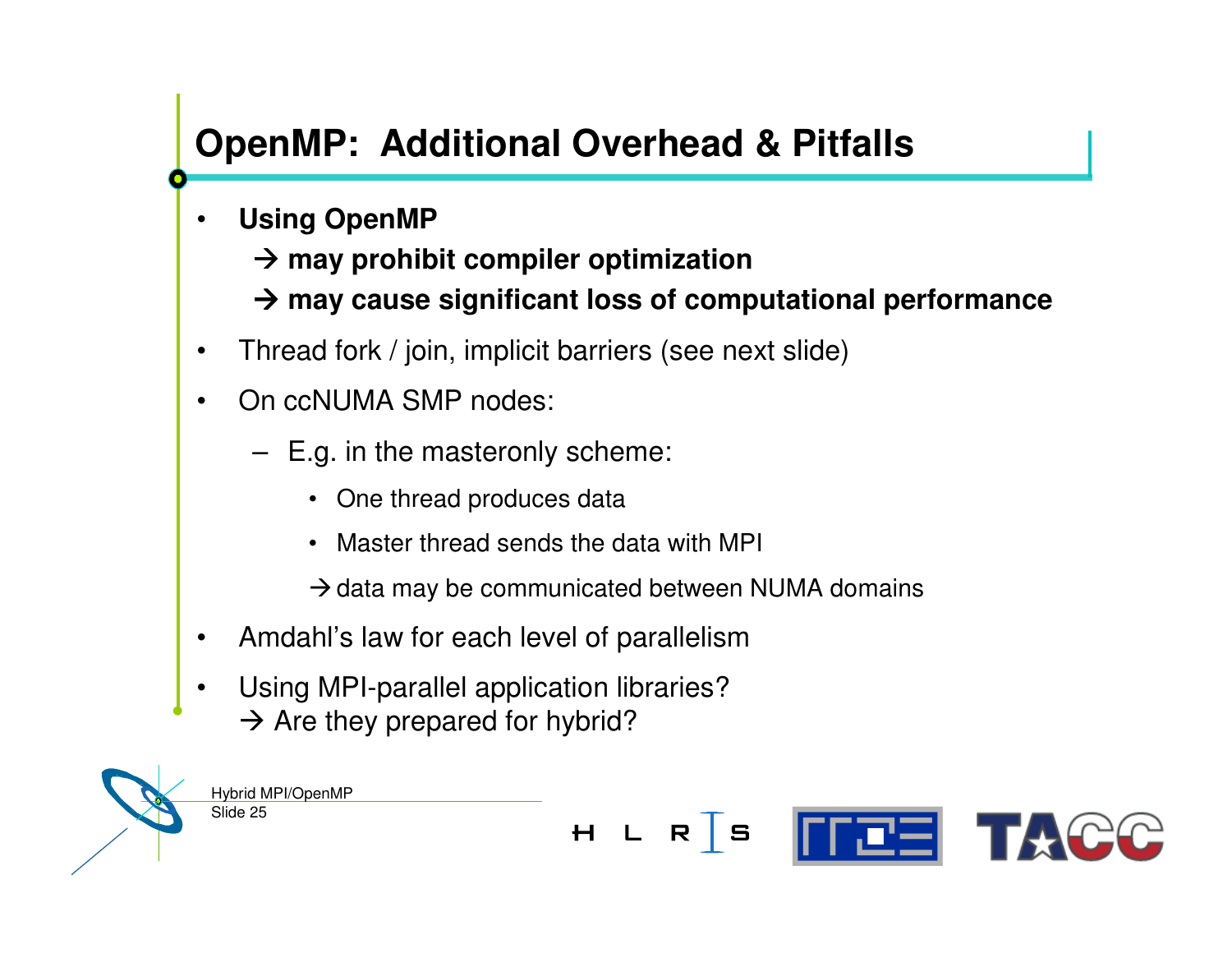## **OpenMP: Additional Overhead & Pitfalls**

- • **Using OpenMP**
	- **may prohibit compiler optimization**
	- **may cause significant loss of computational performance**
- $\bullet$ Thread fork / join, implicit barriers (see next slide)
- •• On ccNUMA SMP nodes:
	- E.g. in the masteronly scheme:
		- One thread produces data
		- Master thread sends the data with MPI
		- $\rightarrow$  data may be communicated between NUMA domains
- •Amdahl's law for each level of parallelism
- • Using MPI-parallel application libraries?  $\rightarrow$  Are they prepared for hybrid?



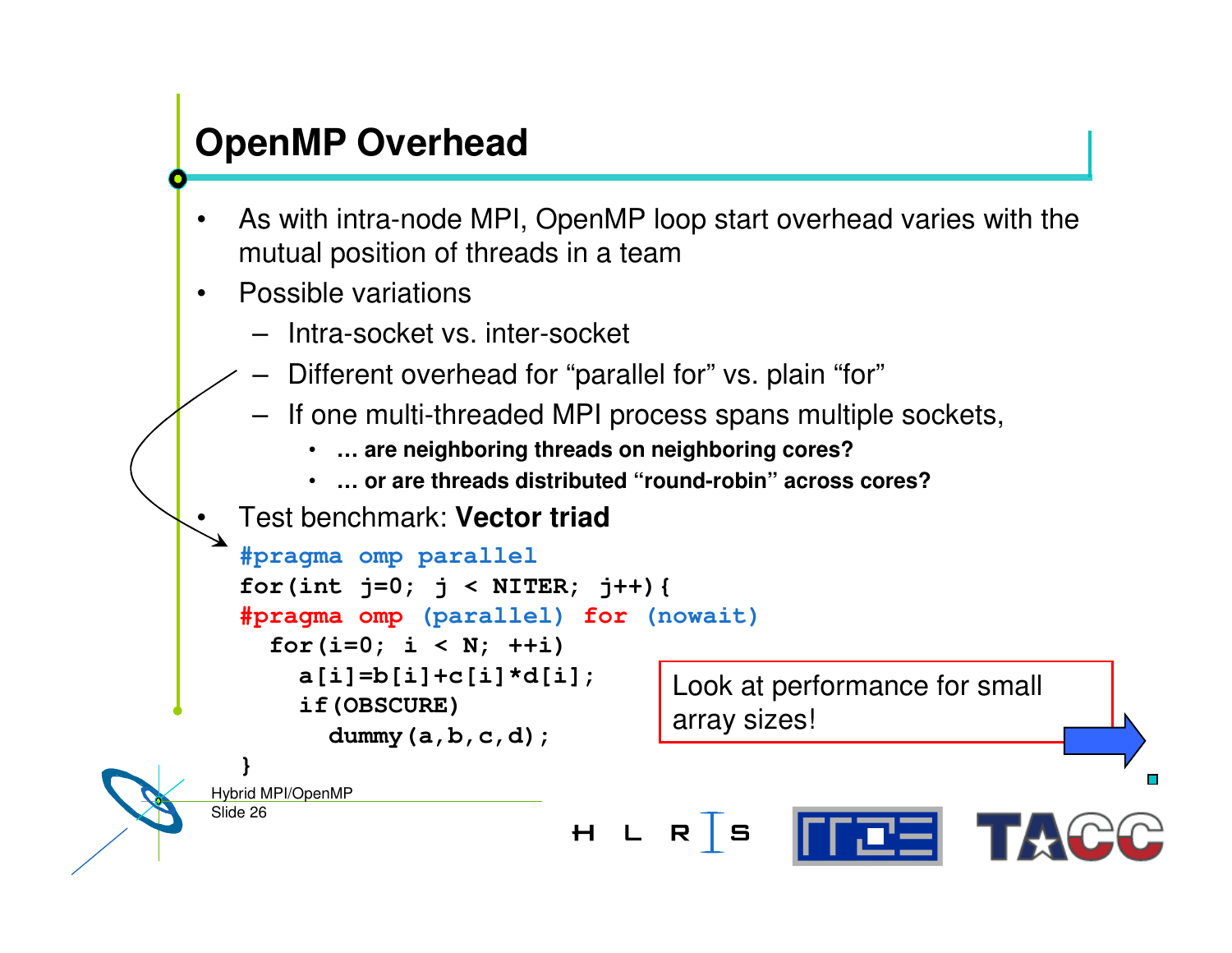### **OpenMP Overhead**

- • As with intra-node MPI, OpenMP loop start overhead varies with the mutual position of threads in <sup>a</sup> team
- •• Possible variations

•

- Intra-socket vs. inter-socket
- Different overhead for "parallel for" vs. plain "for"
- If one multi-threaded MPI process spans multiple sockets,
	- •**… are neighboring threads on neighboring cores?**
	- •**… or are threads distributed "round-robin" across cores?**

Test benchmark: **Vector triad**

```
#pragma omp parallel
  for(int j=0; j < NITER; j++){
  #pragma omp (parallel) for (nowait)
    for(i=0; i < N; ++i)
      a[i]=b[i]+c[i]*d[i];
                                  Look at performance for small
      if(OBSCURE)
                                  array sizes!dummy(a,b,c,d);
  }
Hybrid MPI/OpenMP
Slide 26
                          H L R S
```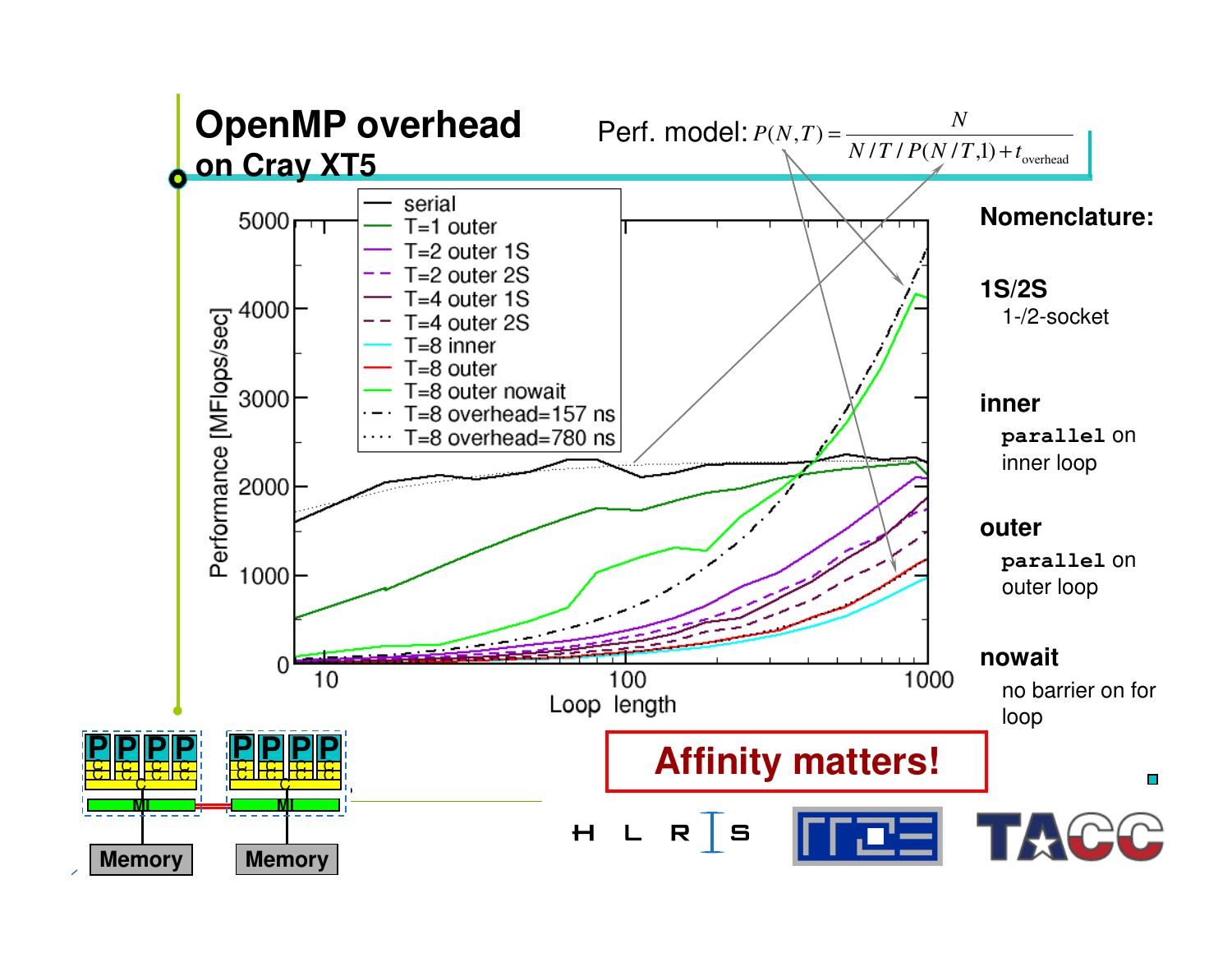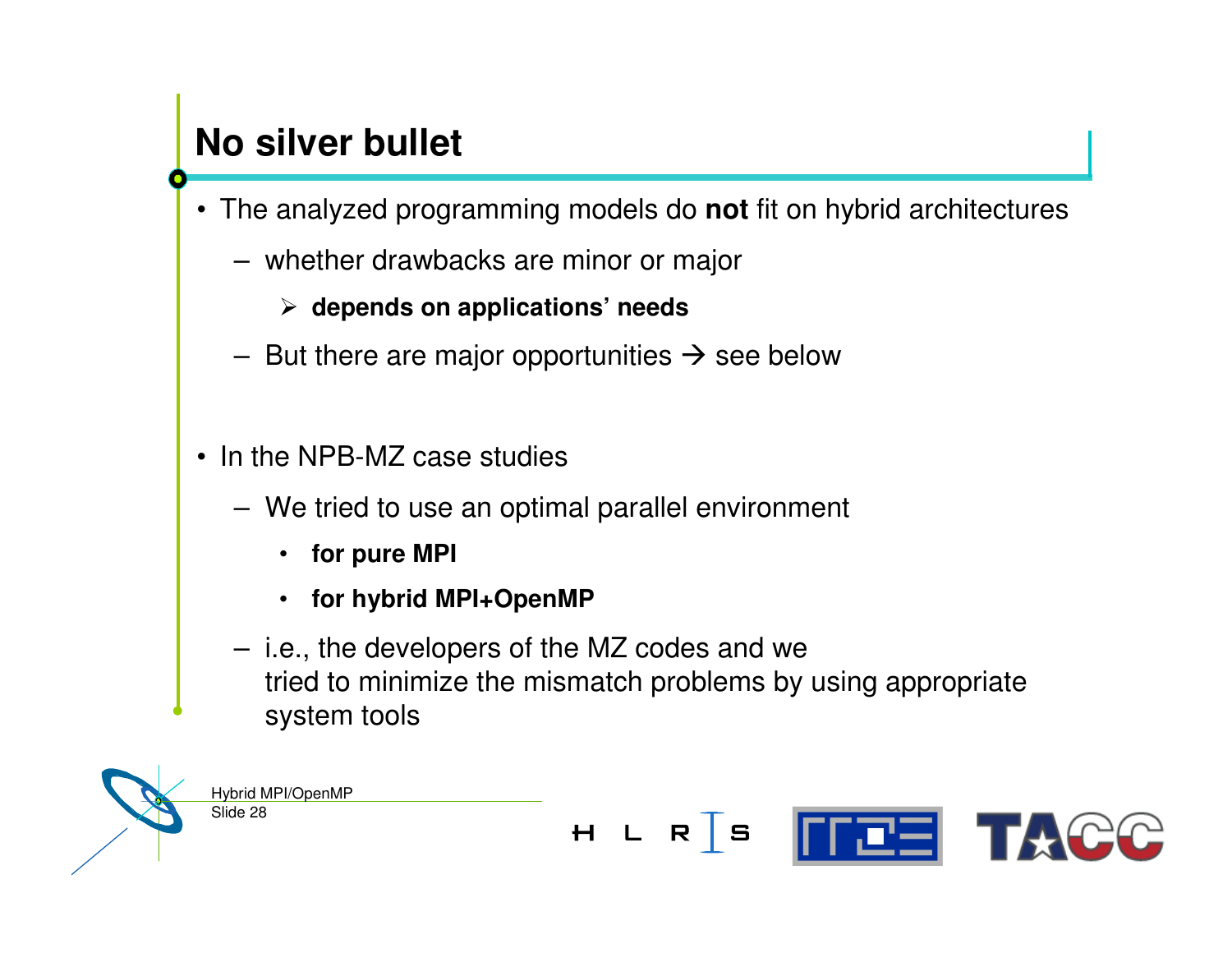## **No silver bullet**

- The analyzed programming models do **not** fit on hybrid architectures
	- whether drawbacks are minor or major

#### **depends on applications' needs**

- But there are major opportunities  $\rightarrow$  see below
- In the NPB-MZ case studies
	- We tried to use an optimal parallel environment
		- **for pure MPI**
		- **for hybrid MPI+OpenMP**
	- i.e., the developers of the MZ codes and we tried to minimize the mismatch problems by using appropriate system tools

Slide 28 Hybrid MPI/OpenMP

**FEE TACC**  $H L R S$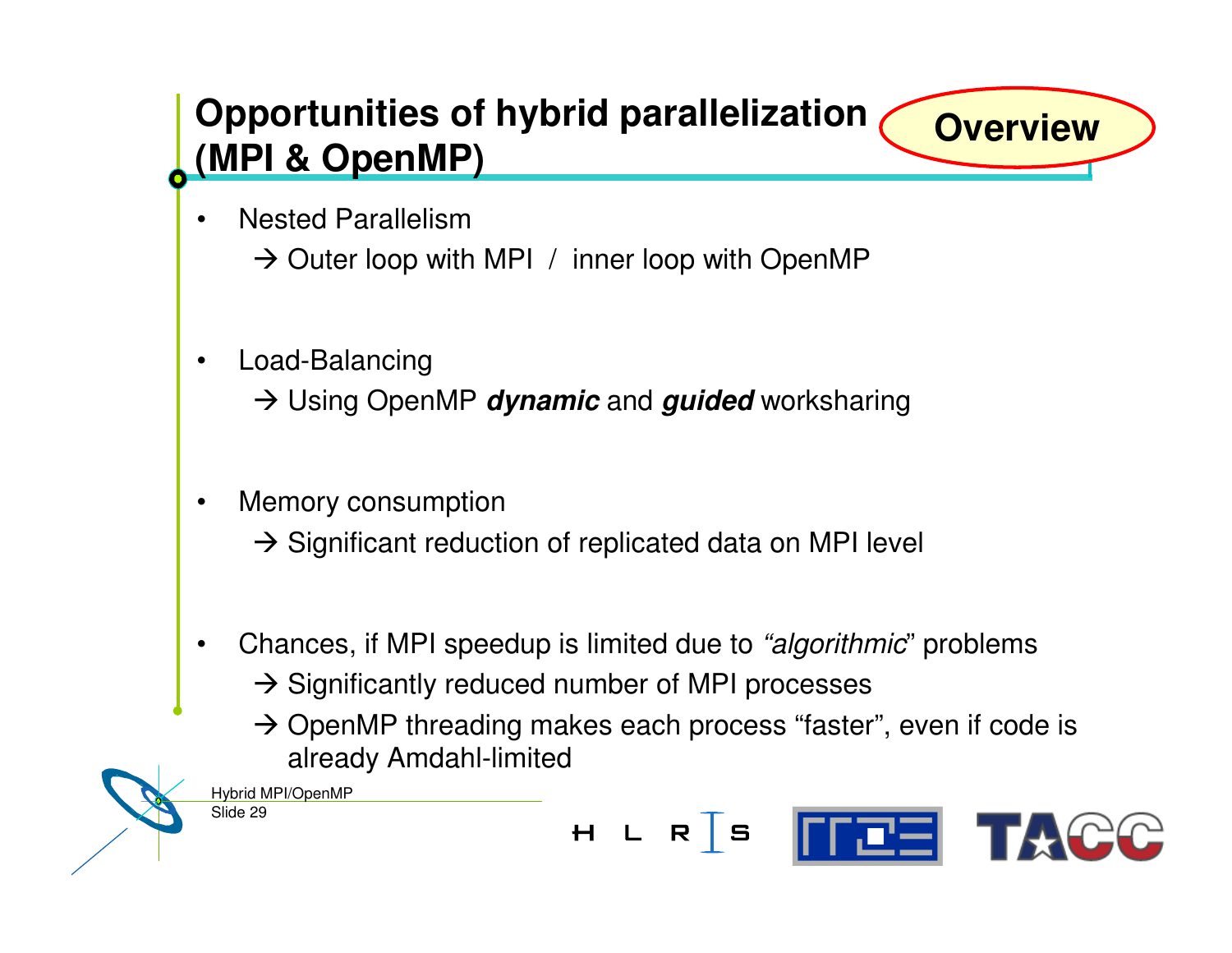## **Opportunities of hybrid parallelization (MPI & OpenMP)**

- •• Nested Parallelism  $\rightarrow$  Outer loop with MPI / inner loop with OpenMP
- • Load-Balancing Using OpenMP *dynamic* and *guided* worksharing
- • Memory consumption  $\rightarrow$  Significant reduction of replicated data on MPI level
- • Chances, if MPI speedup is limited due to *"algorithmic*" problems  $\rightarrow$  Significantly reduced number of MPI processes
	- $\rightarrow$  OpenMP threading makes each process "faster", even if code is already Amdahl-limited

Slide 29 Hybrid MPI/OpenMP



**Overview**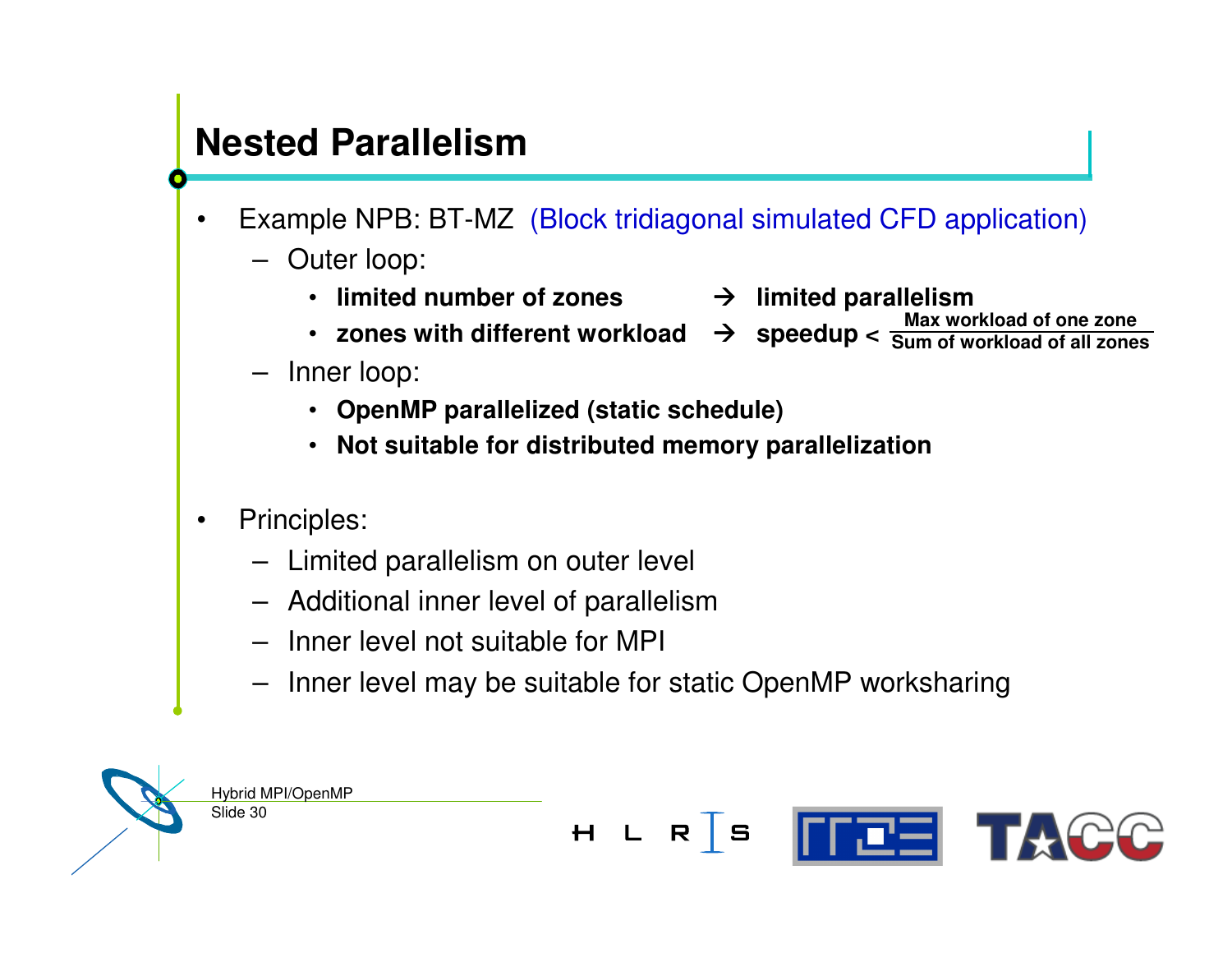## **Nested Parallelism**

- • Example NPB: BT-MZ (Block tridiagonal simulated CFD application)
	- Outer loop:
		- **limited number of zones**
		- **zones with different workload speedup <sup>&</sup>lt; Max workload of one zone**
	- Inner loop:
		- **OpenMP parallelized (static schedule)**
		- **Not suitable for distributed memory parallelization**
- • Principles:
	- Limited parallelism on outer level
	- Additional inner level of parallelism
	- Inner level not suitable for MPI
	- Inner level may be suitable for static OpenMP worksharing



- **limited parallelism**
	- **Sum of workload of all zones**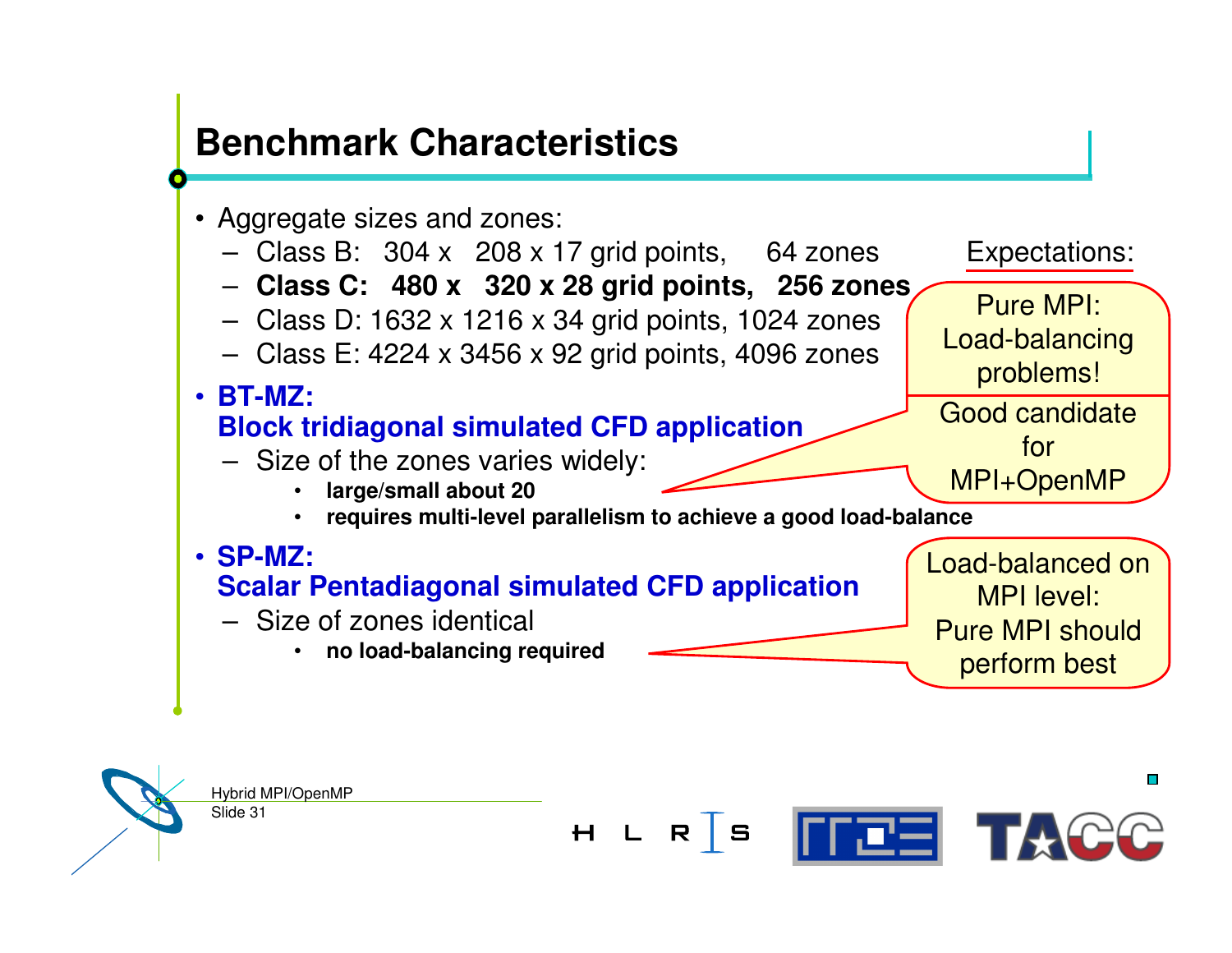#### **Benchmark Characteristics**

- Aggregate sizes and zones:
	- Class B: 304 <sup>x</sup> 208 <sup>x</sup> 17 grid points, 64 zones Expectations:
	- **Class C: 480 <sup>x</sup> 320 <sup>x</sup> 28 grid points, 256 zones**
	- Class D: 1632 <sup>x</sup> 1216 <sup>x</sup> 34 grid points, 1024 zones
	- Class E: 4224 <sup>x</sup> 3456 <sup>x</sup> 92 grid points, 4096 zones
- **BT-MZ: Block tridiagonal simulated CFD application** – Size of the zones varies widely: • **large/small about 20** • **requires multi-level parallelism to achieve <sup>a</sup> good load-balance** • **SP-MZ: Scalar Pentadiagonal simulated CFD application** – Size of zones identical Load-balanced on MPI level: Pure MPI should problems! Good candidate for MPI+OpenMP
	- •**no load-balancing required**

Hybrid MPI/OpenMP Slide 31  $H L R S$ **ITEE TACC** 

 $\Box$ 

perform best

Pure MPI:

Load-balancing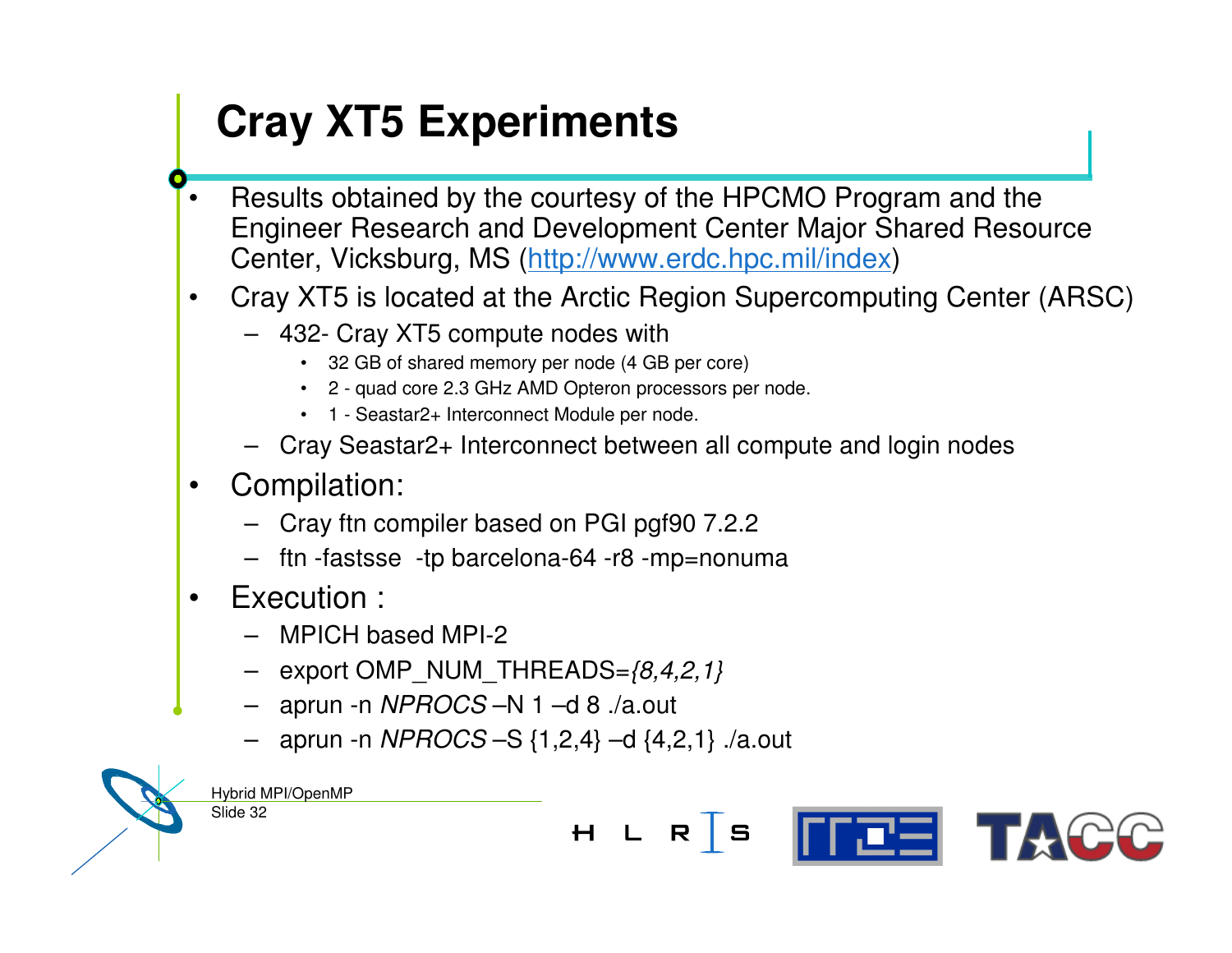# **Cray XT5 Experiments**

- •• Results obtained by the courtesy of the HPCMO Program and the Engineer Research and Development Center Major Shared Resource Center, Vicksburg, MS (http://www.erdc.hpc.mil/index)
- • Cray XT5 is located at the Arctic Region Supercomputing Center (ARSC)
	- 432- Cray XT5 compute nodes with
		- 32 GB of shared memory per node (4 GB per core)
		- 2 quad core 2.3 GHz AMD Opteron processors per node.
		- 1 Seastar2+ Interconnect Module per node.
	- Cray Seastar2+ Interconnect between all compute and login nodes
- • Compilation:
	- Cray ftn compiler based on PGI pgf90 7.2.2
	- ftn -fastsse -tp barcelona-64 -r8 -mp=nonuma
- • Execution :
	- MPICH based MPI-2
	- export OMP\_NUM\_THREADS=*{8,4,2,1}*
	- aprun -n *NPROCS* –N 1 –d 8 ./a.out
	- aprun -n *NPROCS* –S {1,2,4} –d {4,2,1} ./a.out

Hybrid MPI/OpenMP

Slide 32

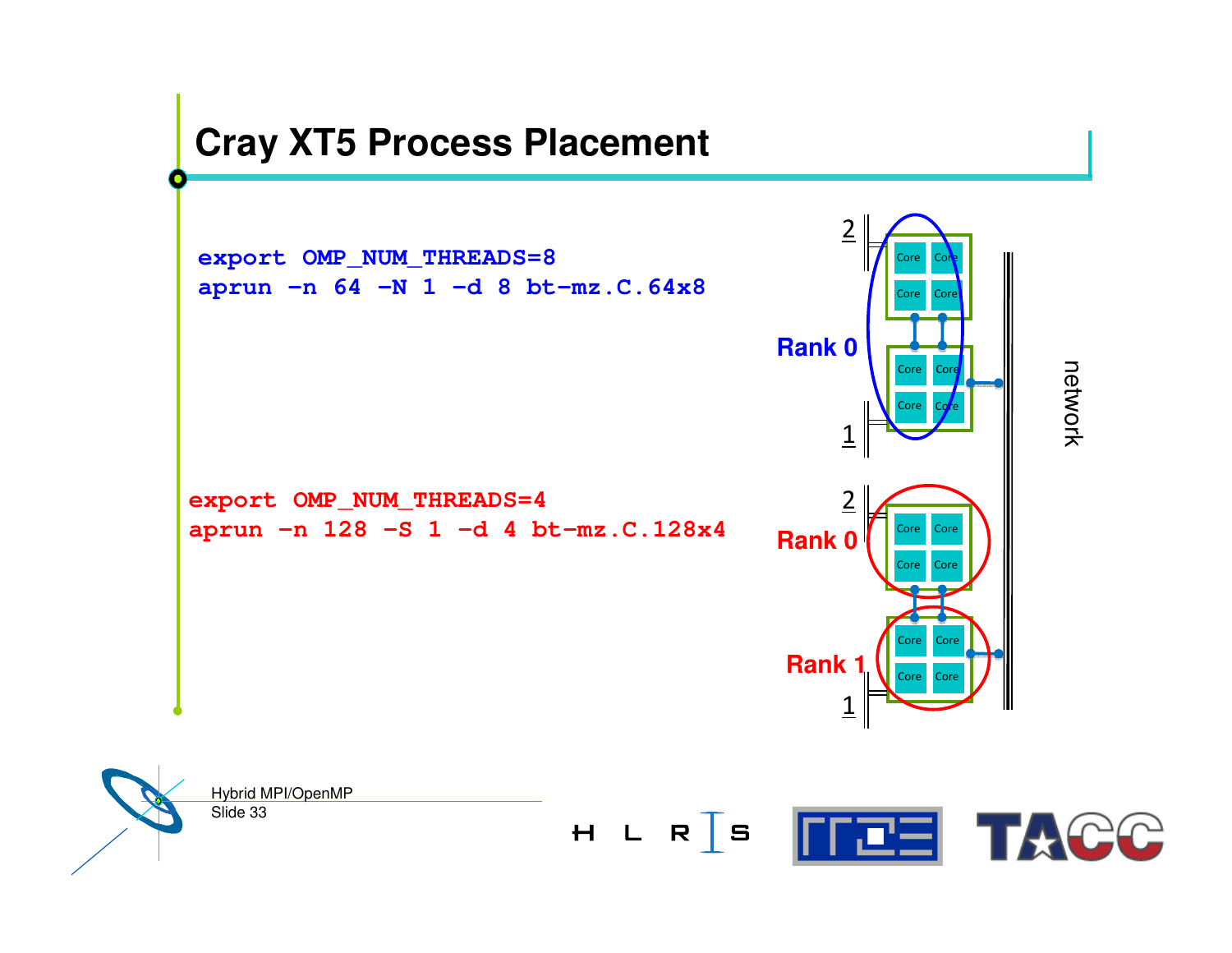#### **Cray XT5 Process Placement**

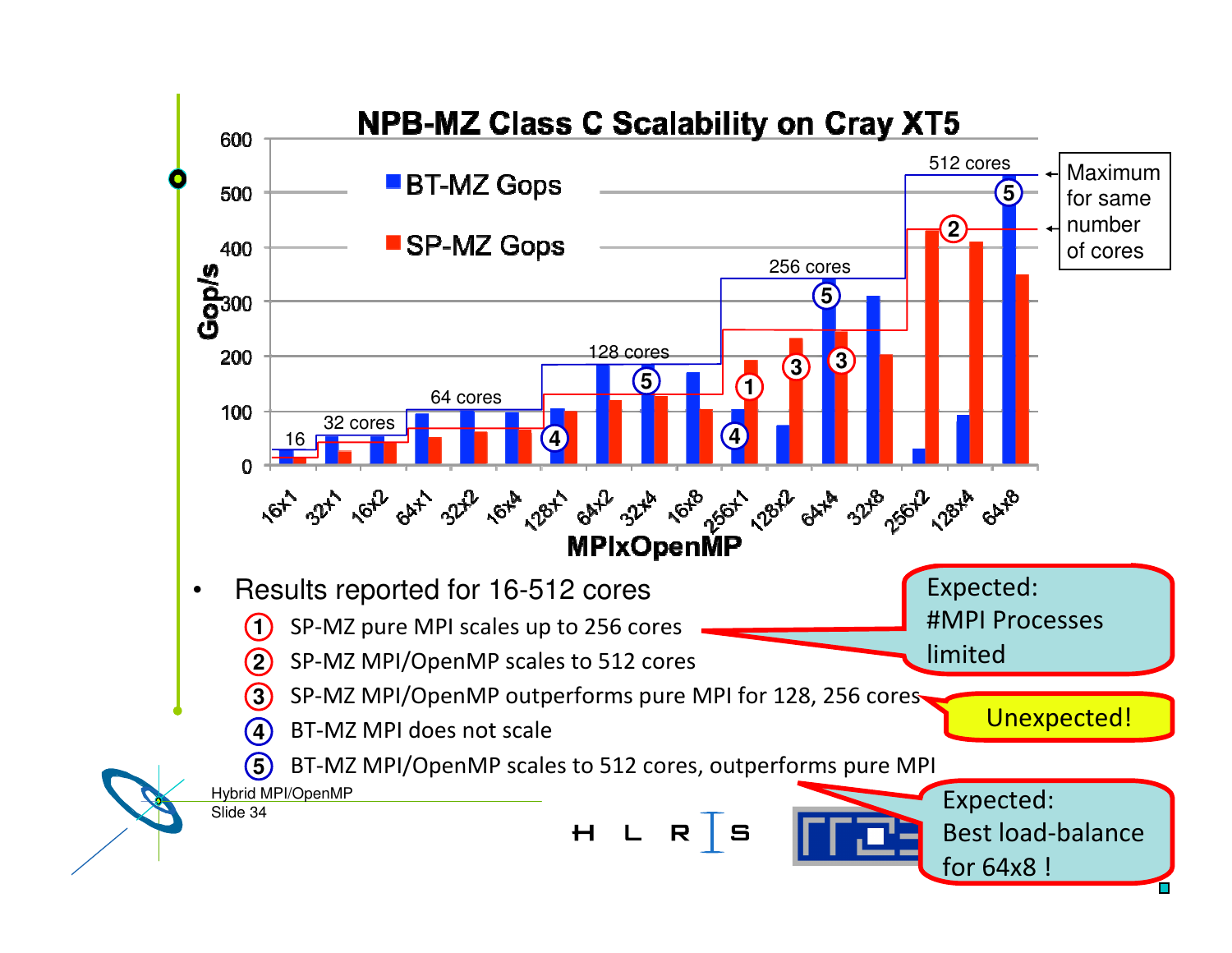